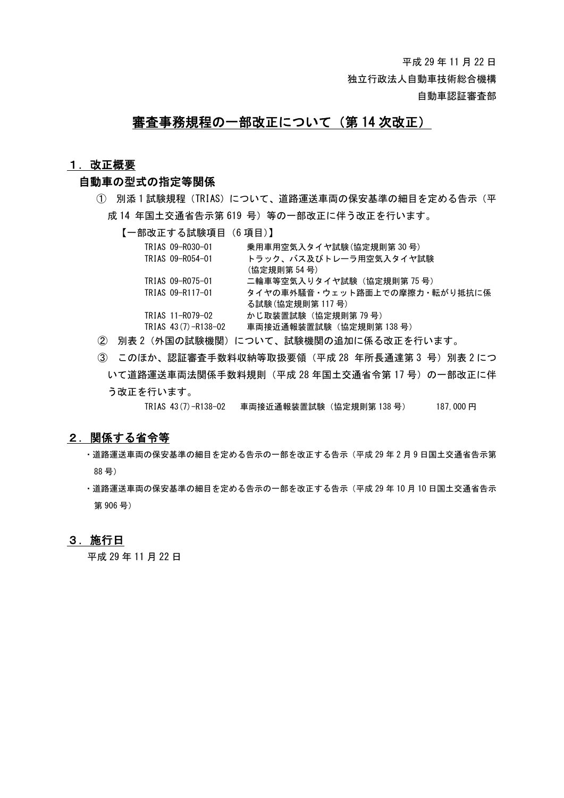独立行政法人自動車技術総合機構

自動車認証審査部

# 審査事務規程の一部改正について(第 14 次改正)

#### 1. 改正概要

## 自動車の型式の指定等関係

- ① 別添 1 試験規程(TRIAS)について、道路運送車両の保安基準の細目を定める告示(平 成 14 年国土交通省告示第 619 号)等の一部改正に伴う改正を行います。
	- 【一部改正する試験項目(6 項目)】

| 乗用車用空気入タイヤ試験 (協定規則第 30 号)     |
|-------------------------------|
| トラック、バス及びトレーラ用空気入タイヤ試験        |
| (協定規則第 54 号)                  |
| 二輪車等空気入りタイヤ試験(協定規則第 75 号)     |
| タイヤの車外騒音・ウェット路面上での摩擦力・転がり抵抗に係 |
| る試験 (協定規則第 117 号)             |
| かじ取装置試験(協定規則第 79 号)           |
| 車両接近通報装置試験(協定規則第 138 号)       |
|                               |

- ② 別表 2(外国の試験機関)について、試験機関の追加に係る改正を行います。
- ③ このほか、認証審査手数料収納等取扱要領(平成 28 年所長通達第 3 号)別表 2 につ いて道路運送車両法関係手数料規則(平成 28 年国土交通省令第 17 号)の一部改正に伴 う改正を行います。

TRIAS 43(7)-R138-02 車両接近通報装置試験 (協定規則第 138号) 187,000 円

## 2.関係する省令等

- ・道路運送車両の保安基準の細目を定める告示の一部を改正する告示(平成 29 年 2 月 9 日国土交通省告示第 88 号)
- ・道路運送車両の保安基準の細目を定める告示の一部を改正する告示(平成 29 年 10 月 10 日国土交通省告示 第 906 号)

### 3.施行日

平成 29 年 11 月 22 日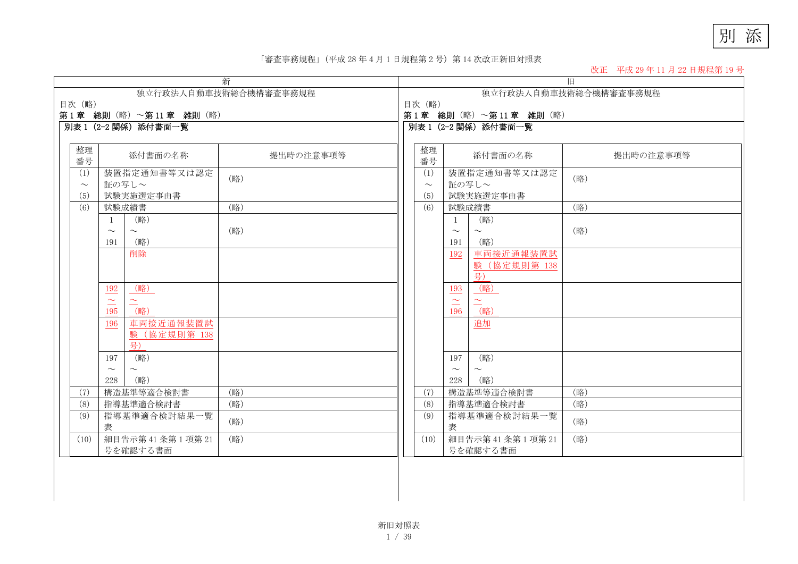別 添

#### 「審査事務規程」(平成 <sup>28</sup> 年 <sup>4</sup> 月 <sup>1</sup> 日規程第 <sup>2</sup> 号)第 <sup>14</sup> 次改正新旧対照表

改正 平成 29 年 11 月 22 日規程第 19 号

|                       |                         | 新         | 旧 |        |              |                         |           |  |  |  |  |  |  |
|-----------------------|-------------------------|-----------|---|--------|--------------|-------------------------|-----------|--|--|--|--|--|--|
| 独立行政法人自動車技術総合機構審査事務規程 |                         |           |   |        |              | 独立行政法人自動車技術総合機構審査事務規程   |           |  |  |  |  |  |  |
| 目次 (略)                |                         |           |   |        |              | 目次 (略)                  |           |  |  |  |  |  |  |
|                       | 第1章 総則 (略) ~第11章 雑則 (略) |           |   |        |              | 第1章 総則 (略) ~第11章 雑則 (略) |           |  |  |  |  |  |  |
|                       | 別表 1 (2-2 関係) 添付書面一覧    |           |   |        |              | 別表 1 (2-2 関係) 添付書面一覧    |           |  |  |  |  |  |  |
|                       |                         |           |   |        |              |                         |           |  |  |  |  |  |  |
| 整理                    |                         |           |   | 整理     |              |                         |           |  |  |  |  |  |  |
|                       | 添付書面の名称                 | 提出時の注意事項等 |   |        |              | 添付書面の名称                 | 提出時の注意事項等 |  |  |  |  |  |  |
| 番号                    |                         |           |   | 番号     |              |                         |           |  |  |  |  |  |  |
| (1)                   | 装置指定通知書等又は認定            | (略)       |   | (1)    |              | 装置指定通知書等又は認定            | (略)       |  |  |  |  |  |  |
| $\sim$                | 証の写し~                   |           |   | $\sim$ |              | 証の写し~                   |           |  |  |  |  |  |  |
| (5)                   | 試験実施選定事由書               |           |   | (5)    |              | 試験実施選定事由書               |           |  |  |  |  |  |  |
| (6)                   | 試験成績書                   | (略)       |   | (6)    |              | 試験成績書                   | (略)       |  |  |  |  |  |  |
|                       | (略)<br>$\overline{1}$   |           |   |        | $\mathbf{1}$ | (略)                     |           |  |  |  |  |  |  |
|                       | $\sim$<br>$\sim$        | (略)       |   |        | $\sim$       | $\sim$                  | (略)       |  |  |  |  |  |  |
|                       | (略)<br>191              |           |   |        | 191          | (略)                     |           |  |  |  |  |  |  |
|                       | 削除                      |           |   |        | 192          | 車両接近通報装置試               |           |  |  |  |  |  |  |
|                       |                         |           |   |        |              | 験 (協定規則第 138            |           |  |  |  |  |  |  |
|                       |                         |           |   |        |              | 号)                      |           |  |  |  |  |  |  |
|                       |                         |           |   |        |              |                         |           |  |  |  |  |  |  |
|                       | (略)<br><u>192</u>       |           |   |        | 193          | (略)                     |           |  |  |  |  |  |  |
|                       | $\simeq$<br>$\sim$      |           |   |        | $\simeq$     | $\simeq$                |           |  |  |  |  |  |  |
|                       | (略)<br>195              |           |   |        | 196          | (略)                     |           |  |  |  |  |  |  |
|                       | 車両接近通報装置試<br>196        |           |   |        |              | 追加                      |           |  |  |  |  |  |  |
|                       | 験 (協定規則第 138            |           |   |        |              |                         |           |  |  |  |  |  |  |
|                       | 号)                      |           |   |        |              |                         |           |  |  |  |  |  |  |
|                       | (略)<br>197              |           |   |        | 197          | (略)                     |           |  |  |  |  |  |  |
|                       | $\sim$<br>$\sim$        |           |   |        | $\sim$       | $\sim$                  |           |  |  |  |  |  |  |
|                       | (略)<br>228              |           |   |        | 228          | (略)                     |           |  |  |  |  |  |  |
| (7)                   | 構造基準等適合検討書              | (略)       |   | (7)    |              | 構造基準等適合検討書              | (略)       |  |  |  |  |  |  |
| (8)                   | 指導基準適合検討書               | (略)       |   | (8)    |              | 指導基準適合検討書               | (略)       |  |  |  |  |  |  |
|                       |                         |           |   |        |              |                         |           |  |  |  |  |  |  |
| (9)                   | 指導基準適合検討結果一覧            | (略)       |   | (9)    |              | 指導基準適合検討結果一覧            | (略)       |  |  |  |  |  |  |
|                       | 表                       |           |   |        | 表            |                         |           |  |  |  |  |  |  |
| (10)                  | 細目告示第 41 条第 1 項第 21     | (略)       |   | (10)   |              | 細目告示第 41 条第 1 項第 21     | (略)       |  |  |  |  |  |  |
|                       | 号を確認する書面                |           |   |        |              | 号を確認する書面                |           |  |  |  |  |  |  |
|                       |                         |           |   |        |              |                         |           |  |  |  |  |  |  |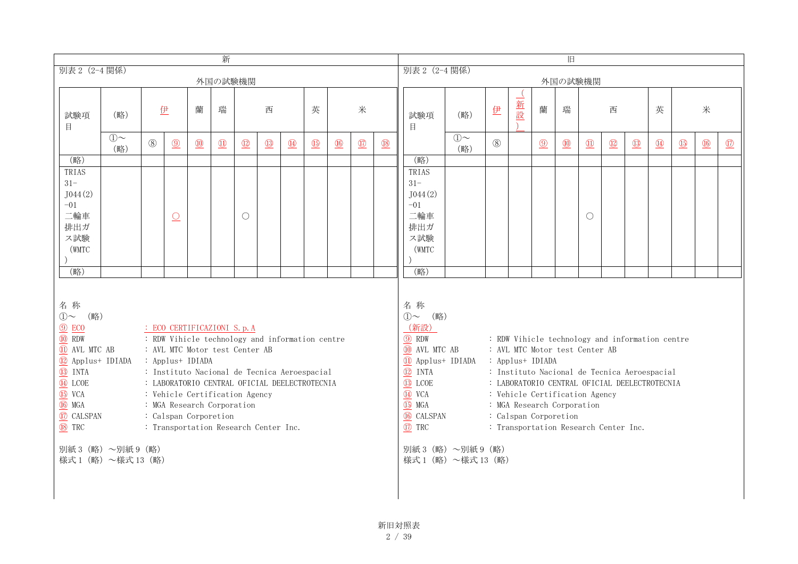| 新                                                                                                                                                                                                                                                                                                                                                                                                                                                                                                                                                                                                                    |                |     |                          |                |                         |                                                                                                                                                                                                              |                   |                  |                                |             |                                                                                                                         | 旧                              |                                                                                                                                                                                           |                |     |     |     |             |                                |              |                               |               |                |                |               |
|----------------------------------------------------------------------------------------------------------------------------------------------------------------------------------------------------------------------------------------------------------------------------------------------------------------------------------------------------------------------------------------------------------------------------------------------------------------------------------------------------------------------------------------------------------------------------------------------------------------------|----------------|-----|--------------------------|----------------|-------------------------|--------------------------------------------------------------------------------------------------------------------------------------------------------------------------------------------------------------|-------------------|------------------|--------------------------------|-------------|-------------------------------------------------------------------------------------------------------------------------|--------------------------------|-------------------------------------------------------------------------------------------------------------------------------------------------------------------------------------------|----------------|-----|-----|-----|-------------|--------------------------------|--------------|-------------------------------|---------------|----------------|----------------|---------------|
| 別表 2 (2-4 関係)<br>外国の試験機関                                                                                                                                                                                                                                                                                                                                                                                                                                                                                                                                                                                             |                |     |                          |                |                         |                                                                                                                                                                                                              | 別表 2 (2-4 関係)     |                  |                                |             |                                                                                                                         | 外国の試験機関                        |                                                                                                                                                                                           |                |     |     |     |             |                                |              |                               |               |                |                |               |
|                                                                                                                                                                                                                                                                                                                                                                                                                                                                                                                                                                                                                      |                |     |                          |                |                         |                                                                                                                                                                                                              |                   |                  |                                |             |                                                                                                                         |                                |                                                                                                                                                                                           |                |     |     |     |             |                                |              |                               |               |                |                |               |
| 試験項<br>目                                                                                                                                                                                                                                                                                                                                                                                                                                                                                                                                                                                                             | (略)            |     | 伊                        | 蘭              | 瑞                       |                                                                                                                                                                                                              | 西                 |                  | 英                              |             | 米                                                                                                                       |                                | 試験項<br>目                                                                                                                                                                                  | (略)            | 伊   | 一新設 | 蘭   | 瑞           |                                | 西            |                               | 英             |                | 米              |               |
|                                                                                                                                                                                                                                                                                                                                                                                                                                                                                                                                                                                                                      | $(1)$ ~<br>(略) | (8) | $\circled{9}$            | $\circled{10}$ | $\overline{\mathbb{D}}$ | $\boxed{12}$                                                                                                                                                                                                 | $\circled{13}$    | $\bigcirc$       | $\underline{\textcircled{15}}$ | $\circledR$ | $\circled{1}$                                                                                                           | $\underline{\textcircled{18}}$ |                                                                                                                                                                                           | $(1)$ ~<br>(略) | (8) |     | $①$ | $\circledR$ | $\textcircled{\scriptsize{1}}$ | $\boxed{12}$ | $\overline{\textcircled{13}}$ | $\circled{4}$ | $\circled{15}$ | $\circled{16}$ | $\circled{1}$ |
| (略)                                                                                                                                                                                                                                                                                                                                                                                                                                                                                                                                                                                                                  |                |     |                          |                |                         |                                                                                                                                                                                                              |                   |                  |                                |             |                                                                                                                         |                                | (略)                                                                                                                                                                                       |                |     |     |     |             |                                |              |                               |               |                |                |               |
| TRIAS<br>$31 -$<br>J044(2)                                                                                                                                                                                                                                                                                                                                                                                                                                                                                                                                                                                           |                |     |                          |                |                         |                                                                                                                                                                                                              |                   |                  |                                |             |                                                                                                                         |                                | TRIAS<br>$31 -$<br>J044(2)                                                                                                                                                                |                |     |     |     |             |                                |              |                               |               |                |                |               |
| $-01$<br>二輪車<br>排出ガ<br>ス試験                                                                                                                                                                                                                                                                                                                                                                                                                                                                                                                                                                                           |                |     | $\overline{\mathcal{O}}$ |                |                         | $\bigcirc$                                                                                                                                                                                                   |                   |                  |                                |             |                                                                                                                         |                                | $-01$<br>二輪車<br>排出ガ<br>ス試験                                                                                                                                                                |                |     |     |     |             | О                              |              |                               |               |                |                |               |
| (WMTC                                                                                                                                                                                                                                                                                                                                                                                                                                                                                                                                                                                                                |                |     |                          |                |                         |                                                                                                                                                                                                              |                   |                  |                                |             |                                                                                                                         |                                | (WMTC<br>(略)                                                                                                                                                                              |                |     |     |     |             |                                |              |                               |               |                |                |               |
| (略)<br>名称<br>(略)<br>$\bigcirc$<br>$①$ ECO<br>: ECO CERTIFICAZIONI S. p. A<br><b>10 RDW</b><br>: RDW Vihicle technology and information centre<br>11 AVL MTC AB<br>: AVL MTC Motor test Center AB<br><sup>12</sup> Applus+ IDIADA<br>: Applus+ IDIADA<br><sup>3</sup> INTA<br>: Instituto Nacional de Tecnica Aeroespacial<br><b>4</b> LCOE<br>: LABORATORIO CENTRAL OFICIAL DEELECTROTECNIA<br><b>15</b> VCA<br>: Vehicle Certification Agency<br><b>16</b> MGA<br>: MGA Research Corporation<br>17 CALSPAN<br>: Calspan Corporetion<br><b>18</b> TRC<br>: Transportation Research Center Inc.<br>別紙 3 (略) ~別紙 9 (略) |                |     |                          |                |                         | 名称<br>①~ (略)<br>(新設)<br>$\circledcirc$ RDW<br>10 AVL MTC AB<br>1 Applust IDIADA<br>$Q$ INTA<br>$\circled{13}$ LCOE<br>$\overline{44}$ VCA<br><b>15</b> MGA<br><b>6</b> CALSPAN<br>17 TRC<br>別紙3 (略) ~別紙9 (略) | 様式1 (略) ~様式13 (略) | : Applus+ IDIADA |                                |             | : AVL MTC Motor test Center AB<br>: Vehicle Certification Agency<br>: MGA Research Corporation<br>: Calspan Corporetion |                                | : RDW Vihicle technology and information centre<br>: Instituto Nacional de Tecnica Aeroespacial<br>: LABORATORIO CENTRAL OFICIAL DEELECTROTECNIA<br>: Transportation Research Center Inc. |                |     |     |     |             |                                |              |                               |               |                |                |               |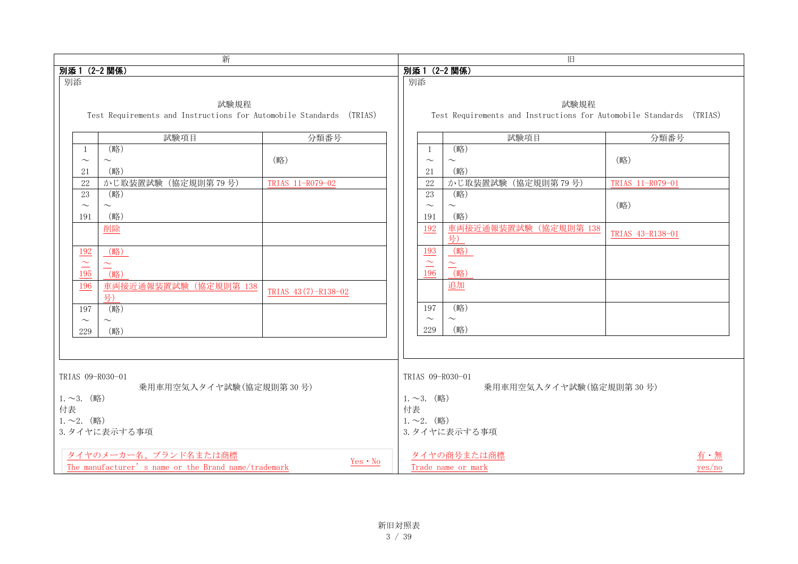|                                                                                         | 新                                                                           |                     |                                                                                                   |                                           | 旧                                                                           |                  |        |  |
|-----------------------------------------------------------------------------------------|-----------------------------------------------------------------------------|---------------------|---------------------------------------------------------------------------------------------------|-------------------------------------------|-----------------------------------------------------------------------------|------------------|--------|--|
| 別添1 (2-2関係)                                                                             |                                                                             |                     |                                                                                                   |                                           | 別添1 (2-2関係)                                                                 |                  |        |  |
| 別添                                                                                      |                                                                             |                     |                                                                                                   | 別添                                        |                                                                             |                  |        |  |
|                                                                                         | 試験規程<br>Test Requirements and Instructions for Automobile Standards (TRIAS) |                     |                                                                                                   |                                           | 試験規程<br>Test Requirements and Instructions for Automobile Standards (TRIAS) |                  |        |  |
|                                                                                         | 試験項目                                                                        | 分類番号                |                                                                                                   |                                           | 試験項目                                                                        | 分類番号             |        |  |
| -1<br>$\sim$<br>21                                                                      | (略)<br>$\sim$<br>(略)                                                        | (略)                 |                                                                                                   | -1<br>$\sim$<br>21                        | (略)<br>$\sim$<br>(略)                                                        | (略)              |        |  |
| 22                                                                                      | かじ取装置試験 (協定規則第79号)                                                          | TRIAS 11-R079-02    |                                                                                                   | 22                                        | かじ取装置試験 (協定規則第79号)                                                          | TRIAS 11-R079-01 |        |  |
| 23<br>$\sim$<br>191                                                                     | (略)<br>$\sim$<br>(略)                                                        |                     |                                                                                                   | 23<br>$\sim$<br>191                       | (略)<br>$\sim$<br>(略)                                                        | (略)              |        |  |
|                                                                                         | 削除                                                                          |                     |                                                                                                   | 192<br>193                                | 車両接近通報装置試験 (協定規則第 138<br>号)                                                 | TRIAS 43-R138-01 |        |  |
| <u>192</u><br>$\simeq$<br>195                                                           | (略)<br>$\simeq$<br>(略)                                                      |                     |                                                                                                   | $\sim$<br>$\overline{\phantom{0}}$<br>196 | (略)<br>$\frac{\sim}{\left(\frac{1}{2}\right)}$                              |                  |        |  |
| 196                                                                                     | 車両接近通報装置試験 (協定規則第 138<br>号)                                                 | TRIAS 43(7)-R138-02 |                                                                                                   |                                           | 追加                                                                          |                  |        |  |
| 197<br>$\sim$<br>229                                                                    | (略)<br>$\sim$<br>(略)                                                        |                     |                                                                                                   | 197<br>$\sim$<br>229                      | (略)<br>$\sim$<br>(略)                                                        |                  |        |  |
|                                                                                         |                                                                             |                     |                                                                                                   |                                           |                                                                             |                  |        |  |
| TRIAS 09-R030-01<br>$1.~2.~$ (略)<br>付表<br>$1.~2.~$ (略)                                  | 乗用車用空気入タイヤ試験(協定規則第30号)<br>3. タイヤに表示する事項                                     |                     | TRIAS 09-R030-01<br>乗用車用空気入タイヤ試験(協定規則第30号)<br>$1.~2.~$ (略)<br>付表<br>$1.~2.~$ (略)<br>3. タイヤに表示する事項 |                                           |                                                                             |                  |        |  |
| タイヤのメーカー名、ブランド名または商標<br>Yes • No<br>The manufacturer's name or the Brand name/trademark |                                                                             |                     |                                                                                                   |                                           | タイヤの商号または商標<br>Trade name or mark                                           |                  | yes/no |  |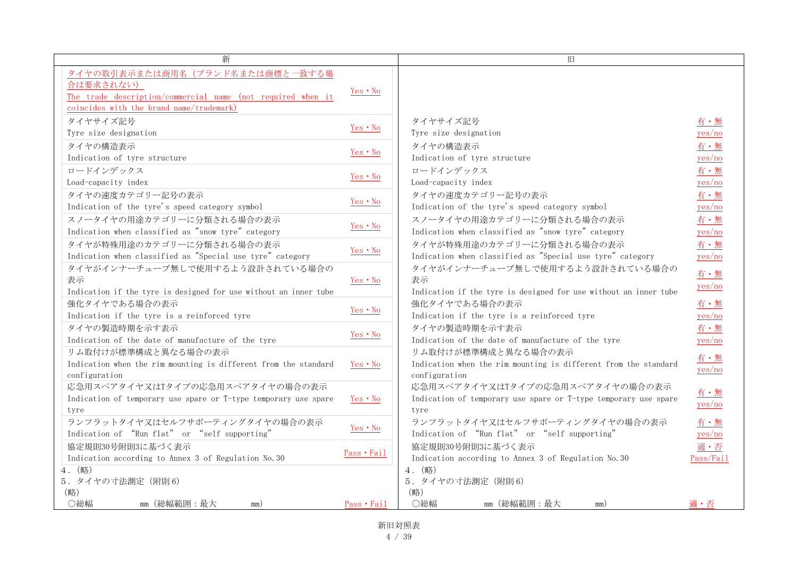| 新                                                                                                                                                       |             | 旧                                                                                                          |               |
|---------------------------------------------------------------------------------------------------------------------------------------------------------|-------------|------------------------------------------------------------------------------------------------------------|---------------|
| タイヤの取引表示または商用名(ブランド名または商標と一致する場<br>合は要求されない)<br>The trade description/commercial name (not required when it<br>coincides with the brand name/trademark) | Yes • No    |                                                                                                            |               |
| タイヤサイズ記号                                                                                                                                                | Yes • No    | タイヤサイズ記号                                                                                                   | 有・無           |
| Tyre size designation                                                                                                                                   |             | Tyre size designation                                                                                      | yes/no        |
| タイヤの構造表示                                                                                                                                                | Yes • No    | タイヤの構造表示                                                                                                   | 有・無           |
| Indication of tyre structure                                                                                                                            |             | Indication of tyre structure                                                                               | yes/no        |
| ロードインデックス                                                                                                                                               |             | ロードインデックス                                                                                                  | 有・無           |
| Load-capacity index                                                                                                                                     | Yes • No    | Load-capacity index                                                                                        | yes/no        |
| タイヤの速度カテゴリー記号の表示                                                                                                                                        | Yes • No    | タイヤの速度カテゴリー記号の表示                                                                                           | 有·無           |
| Indication of the tyre's speed category symbol                                                                                                          |             | Indication of the tyre's speed category symbol                                                             | yes/no        |
| スノータイヤの用途カテゴリーに分類される場合の表示                                                                                                                               | Yes • No    | スノータイヤの用途カテゴリーに分類される場合の表示                                                                                  | 有・無           |
| Indication when classified as "snow tyre" category                                                                                                      |             | Indication when classified as "snow tyre" category                                                         | yes/no        |
| タイヤが特殊用途のカテゴリーに分類される場合の表示                                                                                                                               | Yes • No    | タイヤが特殊用途のカテゴリーに分類される場合の表示                                                                                  | 有·無           |
| Indication when classified as "Special use tyre" category                                                                                               |             | Indication when classified as "Special use tyre" category                                                  | yes/no        |
| タイヤがインナーチューブ無しで使用するよう設計されている場合の<br>表示<br>Indication if the tyre is designed for use without an inner tube                                               | Yes • No    | タイヤがインナーチューブ無しで使用するよう設計されている場合の<br>表示<br>Indication if the tyre is designed for use without an inner tube  | 有・無<br>yes/no |
| 強化タイヤである場合の表示                                                                                                                                           | Yes • No    | 強化タイヤである場合の表示                                                                                              | 有・無           |
| Indication if the tyre is a reinforced tyre                                                                                                             |             | Indication if the tyre is a reinforced tyre                                                                | yes/no        |
| タイヤの製造時期を示す表示                                                                                                                                           | Yes • No    | タイヤの製造時期を示す表示                                                                                              | 有·無           |
| Indication of the date of manufacture of the tyre                                                                                                       |             | Indication of the date of manufacture of the tyre                                                          | yes/no        |
| リム取付けが標準構成と異なる場合の表示<br>Indication when the rim mounting is different from the standard<br>configuration                                                 | Yes · No    | リム取付けが標準構成と異なる場合の表示<br>Indication when the rim mounting is different from the standard<br>configuration    | 有・無<br>yes/no |
| 応急用スペアタイヤ又はTタイプの応急用スペアタイヤの場合の表示<br>Indication of temporary use spare or T-type temporary use spare<br>tyre                                              | Yes · No    | 応急用スペアタイヤ又はTタイプの応急用スペアタイヤの場合の表示<br>Indication of temporary use spare or T-type temporary use spare<br>tyre | 有・無<br>yes/no |
| ランフラットタイヤ又はセルフサポーティングタイヤの場合の表示                                                                                                                          | Yes • No    | ランフラットタイヤ又はセルフサポーティングタイヤの場合の表示                                                                             | 有・無           |
| Indication of "Run flat" or "self supporting"                                                                                                           |             | Indication of "Run flat" or "self supporting"                                                              | yes/no        |
| 協定規則30号附則3に基づく表示                                                                                                                                        | Pass · Fail | 協定規則30号附則3に基づく表示                                                                                           | 適・否           |
| Indication according to Annex 3 of Regulation No. 30                                                                                                    |             | Indication according to Annex 3 of Regulation No. 30                                                       | Pass/Fail     |
| 4. (略)<br>5. タイヤの寸法測定 (附則6)<br>(略)                                                                                                                      |             | 4. (略)<br>5. タイヤの寸法測定 (附則6)<br>(略)                                                                         |               |
| ○総幅<br>mm (総幅範囲:最大<br>mm)                                                                                                                               | Pass • Fail | ○総幅<br>mm (総幅範囲:最大<br>mm)                                                                                  | 適・否           |

新旧対照表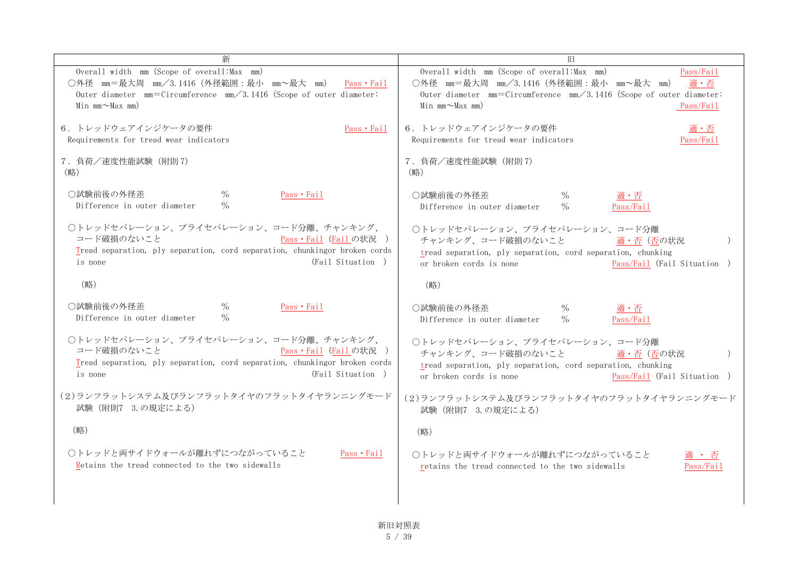|                                                                                                                                                                                                               | IΘ                                                                                                                                                                                                                              |
|---------------------------------------------------------------------------------------------------------------------------------------------------------------------------------------------------------------|---------------------------------------------------------------------------------------------------------------------------------------------------------------------------------------------------------------------------------|
| Overall width mm (Scope of overall: Max mm)<br>○外径 mm=最大周 mm/3.1416 (外径範囲:最小 mm~最大 mm)<br>Pass · Fail<br>Outer diameter $mm = Circumference$ $mm / 3.1416$ (Scope of outer diameter:<br>Min $mm \sim$ Max mm) | Overall width mm (Scope of overall: Max mm)<br>Pass/Fail<br>○外径 mm=最大周 mm/3.1416 (外径範囲:最小 mm~最大 mm)<br>適・否<br>Outer diameter $mm = Circumference$ $mm / 3.1416$ (Scope of outer diameter:<br>Min $mm \sim$ Max mm)<br>Pass/Fail |
| 6. トレッドウェアインジケータの要件<br>Pass · Fail<br>Requirements for tread wear indicators                                                                                                                                  | 6. トレッドウェアインジケータの要件<br>適・否<br>Requirements for tread wear indicators<br>Pass/Fail                                                                                                                                               |
| 7. 負荷/速度性能試験 (附則7)<br>(略)                                                                                                                                                                                     | 7. 負荷/速度性能試験 (附則7)<br>(略)                                                                                                                                                                                                       |
| ○試験前後の外径差<br>$\frac{0}{0}$<br>Pass · Fail<br>$\%$<br>Difference in outer diameter                                                                                                                             | ○試験前後の外径差<br>$\frac{0}{0}$<br>適・否<br>Difference in outer diameter<br>$\%$<br>Pass/Fail                                                                                                                                          |
| ○トレッドセパレーション、プライセパレーション、コード分離、チャンキング、<br>コード破損のないこと<br>Pass · Fail (Failの状況)<br>Tread separation, ply separation, cord separation, chunkingor broken cords<br>(Fail Situation)<br>is none                     | ○トレッドセパレーション、プライセパレーション、コード分離<br>チャンキング、コード破損のないこと<br>適・否(否の状況<br>tread separation, ply separation, cord separation, chunking<br>Pass/Fail (Fail Situation )<br>or broken cords is none                                         |
| (略)                                                                                                                                                                                                           | (略)                                                                                                                                                                                                                             |
| ○試験前後の外径差<br>$\%$<br>Pass · Fail<br>$\frac{0}{0}$<br>Difference in outer diameter                                                                                                                             | ○試験前後の外径差<br>$\%$<br>適・否<br>Difference in outer diameter<br>$\%$<br>Pass/Fail                                                                                                                                                   |
| ○トレッドセパレーション、プライセパレーション、コード分離、チャンキング、<br>コード破損のないこと<br>Pass · Fail (Fail の状況 )<br>Tread separation, ply separation, cord separation, chunkingor broken cords<br>(Fail Situation)<br>is none                   | ○トレッドセパレーション、プライセパレーション、コード分離<br>チャンキング、コード破損のないこと<br>適・否(否の状況<br>tread separation, ply separation, cord separation, chunking<br>or broken cords is none<br>Pass/Fail (Fail Situation )                                         |
| (2)ランフラットシステム及びランフラットタイヤのフラットタイヤランニングモード<br>試験 (附則7 3.の規定による)                                                                                                                                                 | (2)ランフラットシステム及びランフラットタイヤのフラットタイヤランニングモード<br>試験 (附則7 3.の規定による)                                                                                                                                                                   |
| (略)                                                                                                                                                                                                           | (略)                                                                                                                                                                                                                             |
| ○トレッドと両サイドウォールが離れずにつながっていること<br>Pass • Fail<br>Retains the tread connected to the two sidewalls                                                                                                               | ○トレッドと両サイドウォールが離れずにつながっていること<br>適 ・ 否<br>retains the tread connected to the two sidewalls<br>Pass/Fail                                                                                                                          |
|                                                                                                                                                                                                               |                                                                                                                                                                                                                                 |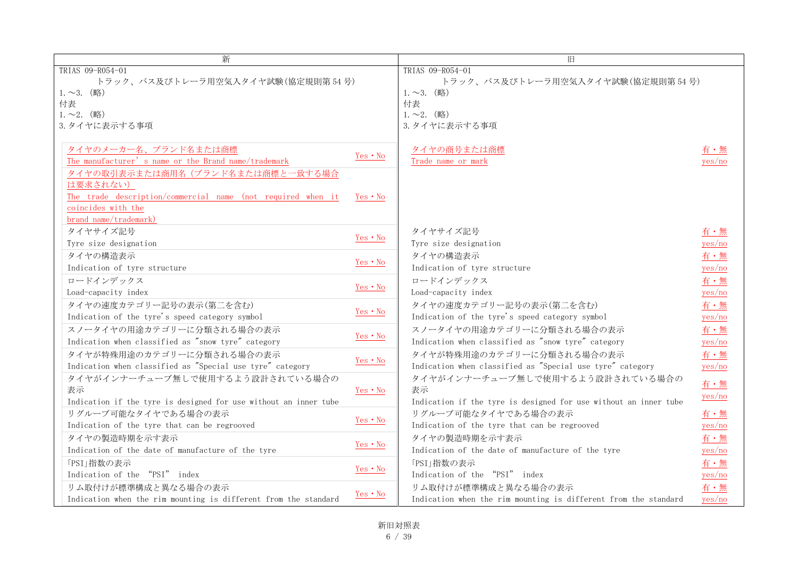| 新                                                                |          | 旧                                                                |        |
|------------------------------------------------------------------|----------|------------------------------------------------------------------|--------|
| TRIAS 09-R054-01                                                 |          | TRIAS 09-R054-01                                                 |        |
| トラック、バス及びトレーラ用空気入タイヤ試験(協定規則第54号)                                 |          | トラック、バス及びトレーラ用空気入タイヤ試験(協定規則第54号)                                 |        |
| $1.~2.~$ (略)                                                     |          | $1.~2.~$ (略)                                                     |        |
| 付表                                                               |          | 付表                                                               |        |
| $1.~2.~$ (略)                                                     |          | $1.~2.~$ (略)                                                     |        |
| 3. タイヤに表示する事項                                                    |          | 3. タイヤに表示する事項                                                    |        |
|                                                                  |          |                                                                  |        |
| タイヤのメーカー名、ブランド名または商標                                             | Yes • No | タイヤの商号または商標                                                      |        |
| The manufacturer's name or the Brand name/trademark              |          | Trade name or mark                                               | yes/no |
| タイヤの取引表示または商用名(ブランド名または商標と一致する場合                                 |          |                                                                  |        |
| は要求されない)                                                         |          |                                                                  |        |
| The trade description/commercial name (not required when it      | Yes • No |                                                                  |        |
| coincides with the                                               |          |                                                                  |        |
| brand name/trademark)                                            |          |                                                                  |        |
| タイヤサイズ記号                                                         | Yes • No | タイヤサイズ記号                                                         | 有・無    |
| Tyre size designation                                            |          | Tyre size designation                                            | yes/no |
| タイヤの構造表示                                                         | Yes • No | タイヤの構造表示                                                         | 有·無    |
| Indication of tyre structure                                     |          | Indication of tyre structure                                     | yes/no |
| ロードインデックス                                                        | Yes • No | ロードインデックス                                                        | 有·無    |
| Load-capacity index                                              |          | Load-capacity index                                              | yes/no |
| タイヤの速度カテゴリー記号の表示(第二を含む)                                          | Yes • No | タイヤの速度カテゴリー記号の表示(第二を含む)                                          | 有・無    |
| Indication of the tyre's speed category symbol                   |          | Indication of the tyre's speed category symbol                   | yes/no |
| スノータイヤの用途カテゴリーに分類される場合の表示                                        |          | スノータイヤの用途カテゴリーに分類される場合の表示                                        | 有・無    |
| Indication when classified as "snow tyre" category               | Yes • No | Indication when classified as "snow tyre" category               | yes/no |
| タイヤが特殊用途のカテゴリーに分類される場合の表示                                        |          | タイヤが特殊用涂のカテゴリーに分類される場合の表示                                        | 有·無    |
| Indication when classified as "Special use tyre" category        | Yes · No | Indication when classified as "Special use tyre" category        | yes/no |
| タイヤがインナーチューブ無しで使用するよう設計されている場合の                                  |          | タイヤがインナーチューブ無しで使用するよう設計されている場合の                                  |        |
| 表示                                                               | Yes • No | 表示                                                               | 有・無    |
| Indication if the tyre is designed for use without an inner tube |          | Indication if the tyre is designed for use without an inner tube | yes/no |
| リグルーブ可能なタイヤである場合の表示                                              |          | リグルーブ可能なタイヤである場合の表示                                              | 有・無    |
| Indication of the tyre that can be regrooved                     | Yes • No | Indication of the tyre that can be regrooved                     | yes/no |
| タイヤの製造時期を示す表示                                                    |          | タイヤの製造時期を示す表示                                                    | 有·無    |
| Indication of the date of manufacture of the tyre                | Yes • No | Indication of the date of manufacture of the tyre                | yes/no |
| 「PSI」指数の表示                                                       |          | 「PSI」指数の表示                                                       | 有·無    |
| Indication of the "PSI" index                                    | Yes • No | Indication of the "PSI" index                                    | yes/no |
| リム取付けが標準構成と異なる場合の表示                                              |          | リム取付けが標準構成と異なる場合の表示                                              | 有・無    |
| Indication when the rim mounting is different from the standard  | Yes • No | Indication when the rim mounting is different from the standard  | yes/no |

新旧対照表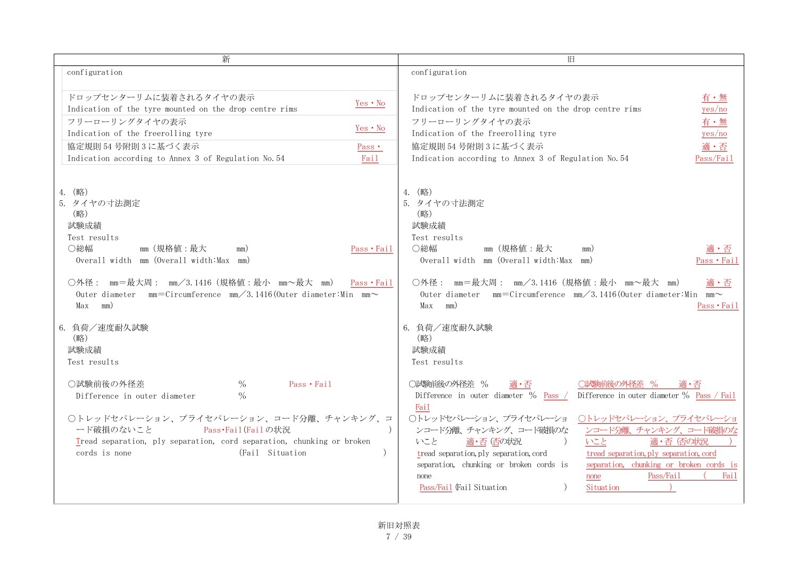| 新                                                                                                                                                                                                                                                                                                                                      | 旧                                                                                                                                                                                                                                                                                                                                                                                                                                                                                                                                               |
|----------------------------------------------------------------------------------------------------------------------------------------------------------------------------------------------------------------------------------------------------------------------------------------------------------------------------------------|-------------------------------------------------------------------------------------------------------------------------------------------------------------------------------------------------------------------------------------------------------------------------------------------------------------------------------------------------------------------------------------------------------------------------------------------------------------------------------------------------------------------------------------------------|
| configuration                                                                                                                                                                                                                                                                                                                          | configuration                                                                                                                                                                                                                                                                                                                                                                                                                                                                                                                                   |
| ドロップセンターリムに装着されるタイヤの表示<br>Yes • No<br>Indication of the tyre mounted on the drop centre rims<br>フリーローリングタイヤの表示<br>Yes • No<br>Indication of the freerolling tyre<br>協定規則 54 号附則 3 に基づく表示<br>$Pass \cdot$<br>Indication according to Annex 3 of Regulation No. 54<br>Fail                                                               | ドロップセンターリムに装着されるタイヤの表示<br>有・無<br>Indication of the tyre mounted on the drop centre rims<br>yes/no<br>フリーローリングタイヤの表示<br>有・無<br>Indication of the freerolling tyre<br>yes/no<br>協定規則 54 号附則 3 に基づく表示<br>適・否<br>Indication according to Annex 3 of Regulation No. 54<br>Pass/Fail                                                                                                                                                                                                                                                                  |
| 4. (略)<br>5. タイヤの寸法測定<br>(略)<br>試験成績<br>Test results<br>○総幅<br>mm(規格値:最大<br>Pass • Fail<br>mm)<br>Overall width mm (Overall width: Max mm)<br>○外径: mm=最大周: mm/3.1416(規格値:最小 mm~最大 mm) Pass・Fail<br>Outer diameter mm=Circumference mm/3.1416(Outer diameter:Min mm $\sim$<br>Max<br>mm)<br>6. 負荷/速度耐久試験<br>(略)<br>試験成績<br>Test results | 4. (略)<br>5. タイヤの寸法測定<br>(略)<br>試験成績<br>Test results<br>○総幅<br>mm(規格値:最大<br>適・否<br>mm)<br>Overall width mm (Overall width: Max mm)<br>Pass · Fail<br>○外径: mm=最大周: mm/3.1416 (規格値:最小 mm~最大 mm)<br>適・否<br>Outer diameter mm=Circumference mm/3.1416(Outer diameter:Min mm $\sim$<br>mm)<br>Max<br>Pass•Fail<br>6. 負荷/速度耐久試験<br>(略)<br>試験成績<br>Test results                                                                                                                                                                                        |
| ○試験前後の外径差<br>$\frac{0}{0}$<br>Pass · Fail<br>$\frac{0}{0}$<br>Difference in outer diameter<br>○トレッドセパレーション、プライセパレーション、コード分離、チャンキング、コ<br>Pass·Fail (Failの状況<br>ード破損のないこと<br>Tread separation, ply separation, cord separation, chunking or broken<br>cords is none<br>(Fail Situation)                                                  | ○試験前後の外径差 %<br>○試験前後の外径差 %<br>適・否<br>適・否<br>Difference in outer diameter $\%$ Pass /<br>Difference in outer diameter % Pass / Fail<br>Fail<br>○トレッドセパレーション、プライセパレーショ<br>○トレッドセパレーション、プライセパレーショ<br>ンコード分離、チャンキング、コード破損のな<br>ンコード分離、チャンキング、コード破損のな<br>いこと<br>適·否 否の状況<br>適·否 佰の状況<br>いこと<br>tread separation, ply separation, cord<br>tread separation, ply separation, cord<br>separation, chunking or broken cords is<br>separation, chunking or broken cords is<br>Pass/Fail<br>Fail<br>none<br>none<br>Pass/Fail (Fail Situation<br>Situation |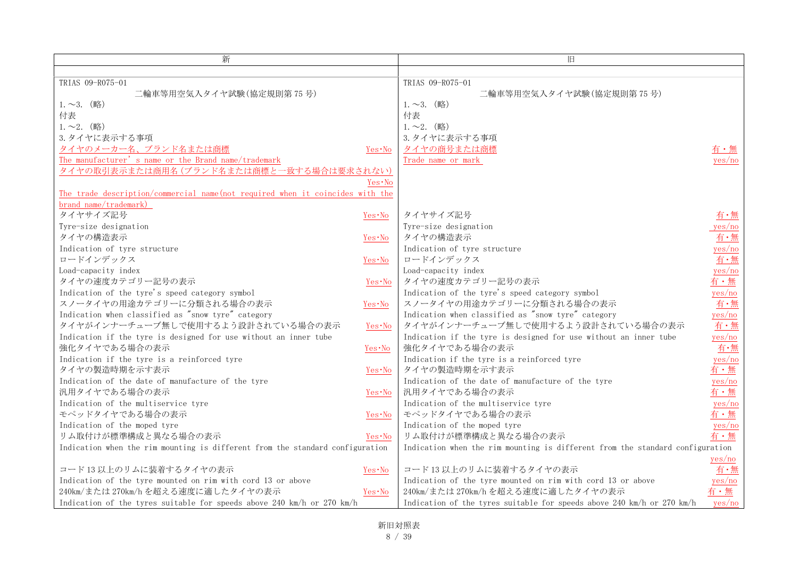| 新                                                                             |          | 旧                                                                             |        |
|-------------------------------------------------------------------------------|----------|-------------------------------------------------------------------------------|--------|
|                                                                               |          |                                                                               |        |
| TRIAS 09-R075-01                                                              |          | TRIAS 09-R075-01                                                              |        |
| 二輪車等用空気入タイヤ試験(協定規則第75号)                                                       |          | 二輪車等用空気入タイヤ試験(協定規則第75号)                                                       |        |
| $1.~2.~$ (略)                                                                  |          | $1.~2.~$ (略)                                                                  |        |
| 付表                                                                            |          | 付表                                                                            |        |
| $1.~2.~$ (略)                                                                  |          | $1.~2.~$ (略)                                                                  |        |
| 3. タイヤに表示する事項                                                                 |          | 3. タイヤに表示する事項                                                                 |        |
| タイヤのメーカー名、ブランド名または商標                                                          | Yes∙No   | タイヤの商号または商標                                                                   | 有・無    |
| The manufacturer's name or the Brand name/trademark                           |          | Trade name or mark                                                            | yes/no |
| タイヤの取引表示または商用名 (ブランド名または商標と一致する場合は要求されない)                                     |          |                                                                               |        |
|                                                                               | Yes∙No   |                                                                               |        |
| The trade description/commercial name(not required when it coincides with the |          |                                                                               |        |
| brand name/trademark)                                                         |          |                                                                               |        |
| タイヤサイズ記号                                                                      | Yes∙No   | タイヤサイズ記号                                                                      | 有・無    |
| Tyre-size designation                                                         |          | Tyre-size designation                                                         | yes/no |
| タイヤの構造表示                                                                      | Yes∙No   | タイヤの構造表示                                                                      | 有・無    |
| Indication of tyre structure                                                  |          | Indication of tyre structure                                                  | yes/no |
| ロードインデックス                                                                     | Yes∙No   | ロードインデックス                                                                     | 有·無    |
| Load-capacity index                                                           |          | Load-capacity index                                                           | yes/no |
| タイヤの速度カテゴリー記号の表示                                                              | Yes∙No   | タイヤの速度カテゴリー記号の表示                                                              | 有・無    |
| Indication of the tyre's speed category symbol                                |          | Indication of the tyre's speed category symbol                                | yes/no |
| スノータイヤの用途カテゴリーに分類される場合の表示                                                     | Yes · No | スノータイヤの用途カテゴリーに分類される場合の表示                                                     | 有・無    |
| Indication when classified as "snow tyre" category                            |          | Indication when classified as "snow tyre" category                            | yes/no |
| タイヤがインナーチューブ無しで使用するよう設計されている場合の表示                                             | Yes · No | タイヤがインナーチューブ無しで使用するよう設計されている場合の表示                                             | 有・無    |
| Indication if the tyre is designed for use without an inner tube              |          | Indication if the tyre is designed for use without an inner tube              | yes/no |
| 強化タイヤである場合の表示                                                                 | Yes∙No   | 強化タイヤである場合の表示                                                                 | 有·無    |
| Indication if the tyre is a reinforced tyre                                   |          | Indication if the tyre is a reinforced tyre                                   | yes/no |
| タイヤの製造時期を示す表示                                                                 | Yes∙No   | タイヤの製造時期を示す表示                                                                 | 有・無    |
| Indication of the date of manufacture of the tyre                             |          | Indication of the date of manufacture of the tyre                             | yes/no |
| 汎用タイヤである場合の表示                                                                 | Yes∙No   | 汎用タイヤである場合の表示                                                                 | 有・無    |
| Indication of the multiservice tyre                                           |          | Indication of the multiservice tyre                                           | yes/no |
| モペッドタイヤである場合の表示                                                               | Yes∙No   | モペッドタイヤである場合の表示                                                               | 有・無    |
| Indication of the moped tyre                                                  |          | Indication of the moped tyre                                                  | yes/no |
| リム取付けが標準構成と異なる場合の表示                                                           | Yes·No   | リム取付けが標準構成と異なる場合の表示                                                           | 有・無    |
| Indication when the rim mounting is different from the standard configuration |          | Indication when the rim mounting is different from the standard configuration |        |
|                                                                               |          |                                                                               | yes/no |
| コード13以上のリムに装着するタイヤの表示                                                         | $Yes·No$ | コード13以上のリムに装着するタイヤの表示                                                         | 有・無    |
| Indication of the tyre mounted on rim with cord 13 or above                   |          | Indication of the tyre mounted on rim with cord 13 or above                   | yes/no |
| 240km/または270km/hを超える速度に適したタイヤの表示                                              | Yes·No   | 240km/または270km/hを超える速度に適したタイヤの表示                                              | 有・無    |
| Indication of the tyres suitable for speeds above 240 km/h or 270 km/h        |          | Indication of the tyres suitable for speeds above 240 km/h or 270 km/h        | yes/no |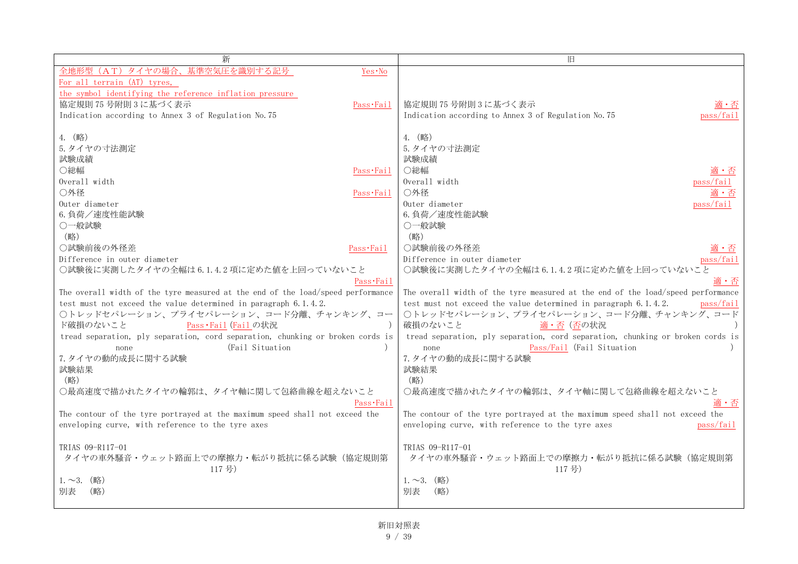| 新                                                                                                 | 旧                                                                                                           |
|---------------------------------------------------------------------------------------------------|-------------------------------------------------------------------------------------------------------------|
| 全地形型<br>Yes · No<br>タイヤの場<br>る記号<br>(AT)                                                          |                                                                                                             |
| For all terrain (AT) tyres,                                                                       |                                                                                                             |
| the symbol identifying the reference inflation pressure                                           |                                                                                                             |
| 協定規則 75 号附則 3 に基づく表示<br>Pass·Fail                                                                 | 協定規則 75 号附則 3 に基づく表示<br>滴・否                                                                                 |
| Indication according to Annex 3 of Regulation No. 75                                              | Indication according to Annex 3 of Regulation No. 75<br>pass/fail                                           |
|                                                                                                   |                                                                                                             |
| 4. (略)                                                                                            | 4. (略)                                                                                                      |
| 5. タイヤの寸法測定                                                                                       | 5. タイヤの寸法測定                                                                                                 |
| 試験成績                                                                                              | 試験成績                                                                                                        |
| ○総幅<br>Pass Fail                                                                                  | ○総幅<br>適・否                                                                                                  |
| Overall width                                                                                     | Overall width<br>pass/fail                                                                                  |
| ○外径<br>Pass·Fail                                                                                  | ○外径                                                                                                         |
| Outer diameter                                                                                    | Outer diameter<br>pass/fail                                                                                 |
| 6. 負荷/速度性能試験                                                                                      | 6. 負荷/速度性能試験                                                                                                |
| ○一般試験                                                                                             | ○一般試験                                                                                                       |
| (略)                                                                                               | (略)                                                                                                         |
| ○試験前後の外径差<br>Pass·Fail                                                                            | ○試験前後の外径差<br>適・否                                                                                            |
| Difference in outer diameter                                                                      | Difference in outer diameter<br>pass/fail                                                                   |
| ○試験後に実測したタイヤの全幅は6.1.4.2項に定めた値を上回っていないこと                                                           | ○試験後に実測したタイヤの全幅は6.1.4.2項に定めた値を上回っていないこと                                                                     |
| Pass·Fail                                                                                         | 適・否                                                                                                         |
| The overall width of the tyre measured at the end of the load/speed performance                   | The overall width of the tyre measured at the end of the load/speed performance                             |
| test must not exceed the value determined in paragraph 6.1.4.2.                                   | test must not exceed the value determined in paragraph 6.1.4.2.<br>pass/fail                                |
| ○トレッドセパレーション、プライセパレーション、コード分離、チャンキング、コー                                                           | ○トレッドセパレーション、プライセパレーション、コード分離、チャンキング、コード<br>破損のないこと                                                         |
| ド破損のないこと<br>Pass · Fail (Fail の状況                                                                 | 適・否(否の状況                                                                                                    |
| tread separation, ply separation, cord separation, chunking or broken cords is<br>(Fail Situation | tread separation, ply separation, cord separation, chunking or broken cords is<br>Pass/Fail (Fail Situation |
| none<br>7. タイヤの動的成長に関する試験                                                                         | none<br>7. タイヤの動的成長に関する試験                                                                                   |
| 試験結果                                                                                              | 試験結果                                                                                                        |
| (略)                                                                                               | (略)                                                                                                         |
| ○最高速度で描かれたタイヤの輪郭は、タイヤ軸に関して包絡曲線を超えないこと                                                             | ○最高速度で描かれたタイヤの輪郭は、タイヤ軸に関して包絡曲線を超えないこと                                                                       |
| Pass <b>Fail</b>                                                                                  | 適・否                                                                                                         |
| The contour of the tyre portrayed at the maximum speed shall not exceed the                       | The contour of the tyre portrayed at the maximum speed shall not exceed the                                 |
| enveloping curve, with reference to the tyre axes                                                 | enveloping curve, with reference to the tyre axes<br>pass/fail                                              |
|                                                                                                   |                                                                                                             |
| TRIAS 09-R117-01                                                                                  | TRIAS 09-R117-01                                                                                            |
| タイヤの車外騒音・ウェット路面上での摩擦力・転がり抵抗に係る試験(協定規則第                                                            | タイヤの車外騒音・ウェット路面上での摩擦力・転がり抵抗に係る試験(協定規則第                                                                      |
| 117号)                                                                                             | 117号)                                                                                                       |
| $1.~2.~$ (略)                                                                                      | $1.~2.~($ 略)                                                                                                |
| 別表<br>(略)                                                                                         | 別表<br>(略)                                                                                                   |
|                                                                                                   |                                                                                                             |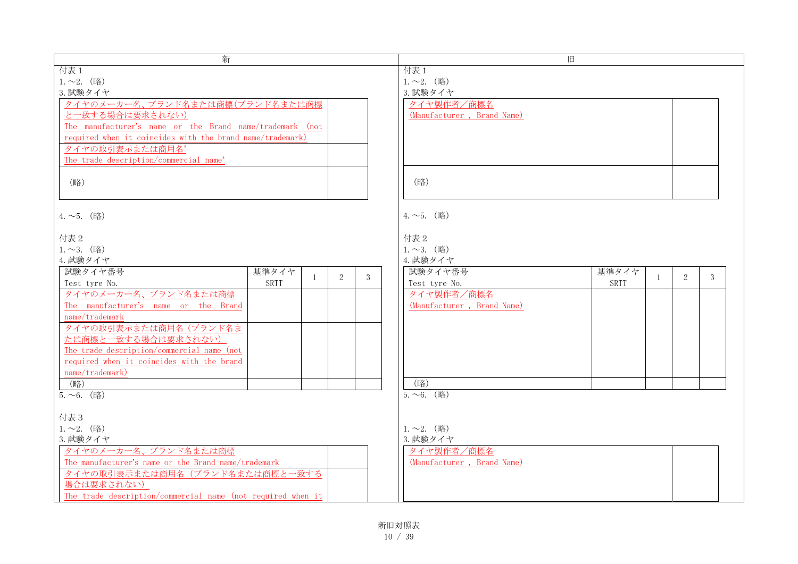| 新                                                           | 旧                                          |
|-------------------------------------------------------------|--------------------------------------------|
| 付表 1                                                        | 付表 1                                       |
| $1.~2.~$ (略)                                                | $1.~2.~$ (略)                               |
| 3. 試験タイヤ                                                    | 3. 試験タイヤ                                   |
| タイヤのメーカー名、ブランド名または商標(ブランド名または商標                             | タイヤ製作者/商標名                                 |
| と一致する場合は要求されない)                                             | (Manufacturer, Brand Name)                 |
| The manufacturer's name or the Brand name/trademark (not    |                                            |
| required when it coincides with the brand name/trademark)   |                                            |
| タイヤの取引表示または商用名*                                             |                                            |
| The trade description/commercial name*                      |                                            |
|                                                             |                                            |
| (略)                                                         | (略)                                        |
|                                                             |                                            |
|                                                             |                                            |
|                                                             | $4.~1.~$ (略)                               |
| $4.~1.~$ (略)                                                |                                            |
|                                                             |                                            |
| 付表 2                                                        | 付表 2                                       |
| $1.~2.~$ (略)                                                | $1.~1.~$ (略)                               |
| 4. 試験タイヤ                                                    | 4. 試験タイヤ                                   |
| 試験タイヤ番号<br>基準タイヤ<br>2<br>$\mathbf{1}$<br>3                  | 試験タイヤ番号<br>基準タイヤ<br>2<br>3<br>$\mathbf{1}$ |
| Test tyre No.<br><b>SRTT</b>                                | <b>SRTT</b><br>Test tyre No.               |
| タイヤのメーカー名、ブランド名または商標                                        | タイヤ製作者/商標名                                 |
| The manufacturer's name or the Brand                        | (Manufacturer, Brand Name)                 |
| name/trademark                                              |                                            |
| タイヤの取引表示または商用名 (ブランド名ま                                      |                                            |
| たは商標と一致する場合は要求されない)                                         |                                            |
| The trade description/commercial name (not                  |                                            |
| required when it coincides with the brand                   |                                            |
| name/trademark)                                             |                                            |
| (略)                                                         | (略)                                        |
| $5.~0.~$ (略)                                                | $5.~0.~($ 略)                               |
|                                                             |                                            |
| 付表3                                                         |                                            |
| $1.~2.~$ (略)                                                | $1.~2.~$ (略)                               |
| 3. 試験タイヤ                                                    | 3. 試験タイヤ                                   |
| タイヤのメーカー名、ブランド名または商標                                        | タイヤ製作者/商標名                                 |
| The manufacturer's name or the Brand name/trademark         | (Manufacturer, Brand Name)                 |
| タイヤの取引表示または商用名(ブランド名または商標と一致する                              |                                            |
| 場合は要求されない)                                                  |                                            |
|                                                             |                                            |
| The trade description/commercial name (not required when it |                                            |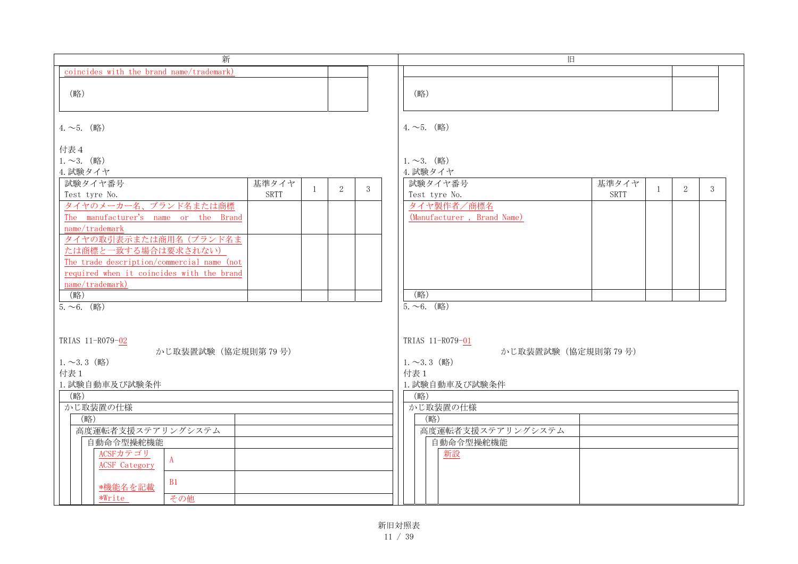| 新                                                      |   |   | 旧                                          |
|--------------------------------------------------------|---|---|--------------------------------------------|
| coincides with the brand name/trademark)               |   |   |                                            |
|                                                        |   |   |                                            |
| (略)                                                    |   |   | (略)                                        |
|                                                        |   |   |                                            |
| $4.~1.~$ (略)                                           |   |   | $4.~1.~\circ$ 5. (略)                       |
|                                                        |   |   |                                            |
| 付表4                                                    |   |   |                                            |
| $1.~2.~$ (略)                                           |   |   | $1.~2.~$ (略)                               |
| 4. 試験タイヤ                                               |   |   | 4. 試験タイヤ                                   |
| 試験タイヤ番号<br>基準タイヤ<br>1                                  | 2 | 3 | 試験タイヤ番号<br>基準タイヤ<br>2<br>3<br>$\mathbf{1}$ |
| <b>SRTT</b><br>Test tyre No.                           |   |   | <b>SRTT</b><br>Test tyre No.               |
| タイヤのメーカー名、ブランド名または商標                                   |   |   | タイヤ製作者/商標名                                 |
| The manufacturer's name or the Brand<br>name/trademark |   |   | (Manufacturer, Brand Name)                 |
| タイヤの取引表示または商用名(ブランド名ま                                  |   |   |                                            |
| たは商標と一致する場合は要求されない)                                    |   |   |                                            |
| The trade description/commercial name (not             |   |   |                                            |
| required when it coincides with the brand              |   |   |                                            |
| name/trademark)                                        |   |   |                                            |
| (略)                                                    |   |   | (略)                                        |
| $5.~0.~$ (略)                                           |   |   | $5.~0.~$ (略)                               |
|                                                        |   |   |                                            |
| TRIAS 11-R079-02                                       |   |   | TRIAS 11-R079-01                           |
| かじ取装置試験 (協定規則第79号)                                     |   |   | かじ取装置試験(協定規則第79号)                          |
| $1.~2.3~$ (略)                                          |   |   | $1.~2.3~$ (略)                              |
| 付表 1                                                   |   |   | 付表 1                                       |
| 1. 試験自動車及び試験条件                                         |   |   | 1. 試験自動車及び試験条件                             |
| (略)                                                    |   |   | (略)                                        |
| かじ取装置の仕様                                               |   |   | かじ取装置の仕様                                   |
| (略)<br>高度運転者支援ステアリングシステム                               |   |   | (略)<br>高度運転者支援ステアリングシステム                   |
| 自動命令型操舵機能                                              |   |   | 自動命令型操舵機能                                  |
| ACSFカテゴリ                                               |   |   | 新設                                         |
| $\mathbf{A}$<br><b>ACSF</b> Category                   |   |   |                                            |
| B1                                                     |   |   |                                            |
| *機能名を記載                                                |   |   |                                            |
| *Write<br>その他                                          |   |   |                                            |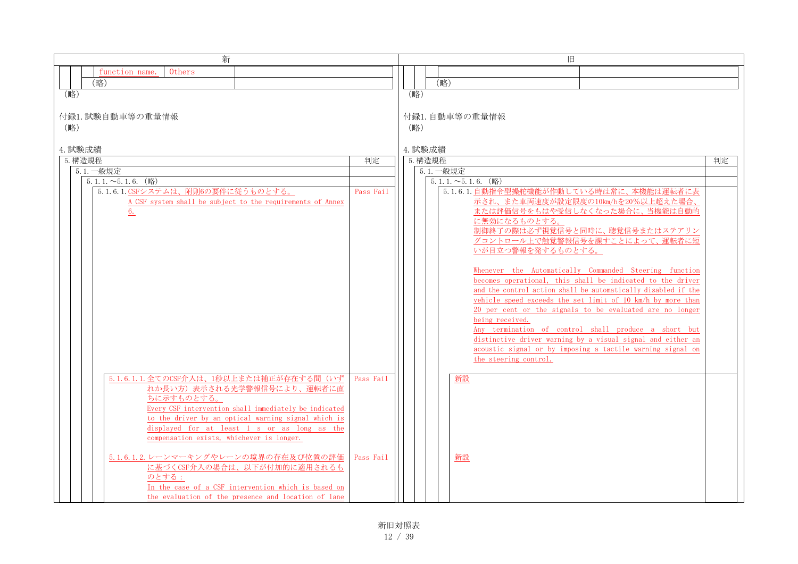| 新                                                                                                            |           | 旧                                                                                                                         |    |
|--------------------------------------------------------------------------------------------------------------|-----------|---------------------------------------------------------------------------------------------------------------------------|----|
| Others<br>function name.                                                                                     |           |                                                                                                                           |    |
| (略)                                                                                                          |           | (略)                                                                                                                       |    |
| (略)                                                                                                          |           | (略)                                                                                                                       |    |
|                                                                                                              |           |                                                                                                                           |    |
| 付録1. 試験自動車等の重量情報                                                                                             |           | 付録1. 自動車等の重量情報                                                                                                            |    |
| (略)                                                                                                          |           | (略)                                                                                                                       |    |
|                                                                                                              |           |                                                                                                                           |    |
| 4. 試験成績                                                                                                      |           | 4. 試験成績                                                                                                                   |    |
| 5. 構造規程                                                                                                      | 判定        | 5. 構造規程                                                                                                                   | 判定 |
| 5.1. 一般規定                                                                                                    |           | 5.1. 一般規定                                                                                                                 |    |
| $5.1.1.\sim 5.1.6.$ (略)                                                                                      |           | $5.1.1.\sim 5.1.6.$ (略)                                                                                                   |    |
| 5.1.6.1. CSFシステムは、附則6の要件に従うものとする。<br>A CSF system shall be subject to the requirements of Annex              | Pass Fail | 5.1.6.1. 自動指令型操舵機能が作動している時は常に、本機能は運転者に表<br>示され、また車両速度が設定限度の10km/hを20%以上超えた場合、                                             |    |
| 6.                                                                                                           |           | または評価信号をもはや受信しなくなった場合に、当機能は自動的                                                                                            |    |
|                                                                                                              |           | に無効になるものとする。                                                                                                              |    |
|                                                                                                              |           | 制御終了の際は必ず視覚信号と同時に、聴覚信号またはステアリン                                                                                            |    |
|                                                                                                              |           | グコントロール上で触覚警報信号を課すことによって、運転者に短                                                                                            |    |
|                                                                                                              |           | いが目立つ警報を発するものとする。                                                                                                         |    |
|                                                                                                              |           |                                                                                                                           |    |
|                                                                                                              |           | Whenever the Automatically Commanded Steering function<br>becomes operational, this shall be indicated to the driver      |    |
|                                                                                                              |           | and the control action shall be automatically disabled if the                                                             |    |
|                                                                                                              |           | vehicle speed exceeds the set limit of 10 km/h by more than                                                               |    |
|                                                                                                              |           | 20 per cent or the signals to be evaluated are no longer                                                                  |    |
|                                                                                                              |           | being received.                                                                                                           |    |
|                                                                                                              |           | Any termination of control shall produce a short but                                                                      |    |
|                                                                                                              |           | distinctive driver warning by a visual signal and either an<br>acoustic signal or by imposing a tactile warning signal on |    |
|                                                                                                              |           | the steering control.                                                                                                     |    |
|                                                                                                              |           |                                                                                                                           |    |
| 5.1.6.1.1. 全てのCSF介入は、1秒以上または補正が存在する間(いず                                                                      | Pass Fail | 新設                                                                                                                        |    |
| れか長い方)表示される光学警報信号により、運転者に直                                                                                   |           |                                                                                                                           |    |
| ちに示すものとする。                                                                                                   |           |                                                                                                                           |    |
| Every CSF intervention shall immediately be indicated<br>to the driver by an optical warning signal which is |           |                                                                                                                           |    |
| displayed for at least 1 s or as long as the                                                                 |           |                                                                                                                           |    |
| compensation exists, whichever is longer.                                                                    |           |                                                                                                                           |    |
|                                                                                                              |           |                                                                                                                           |    |
| 5.1.6.1.2. レーンマーキングやレーンの境界の存在及び位置の評価                                                                         | Pass Fail | <u>新設</u>                                                                                                                 |    |
| に基づくCSF介入の場合は、以下が付加的に適用されるも                                                                                  |           |                                                                                                                           |    |
| のとする:                                                                                                        |           |                                                                                                                           |    |
| In the case of a CSF intervention which is based on                                                          |           |                                                                                                                           |    |
| the evaluation of the presence and location of lane                                                          |           |                                                                                                                           |    |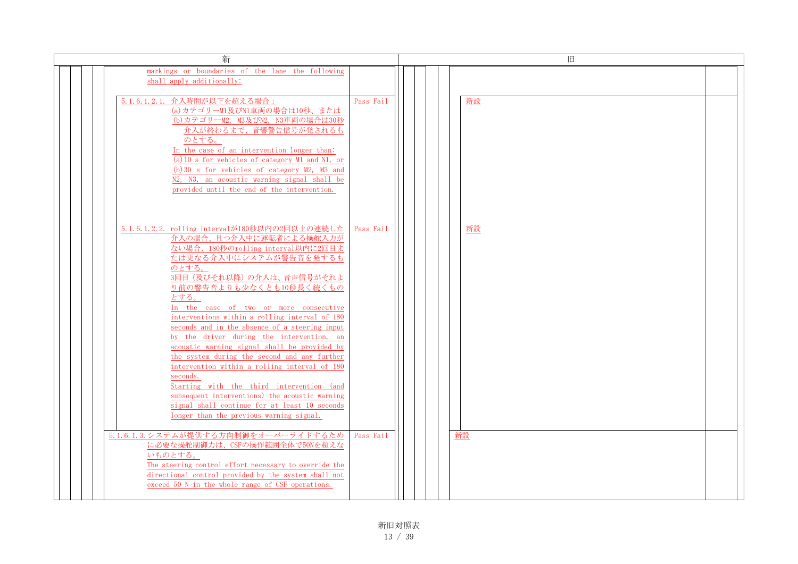| 新                                                                                                                                                                                                                                                                                                                                                                                                                                                                                                                                                                                                                                                                                                                                                                     |           | 旧  |  |
|-----------------------------------------------------------------------------------------------------------------------------------------------------------------------------------------------------------------------------------------------------------------------------------------------------------------------------------------------------------------------------------------------------------------------------------------------------------------------------------------------------------------------------------------------------------------------------------------------------------------------------------------------------------------------------------------------------------------------------------------------------------------------|-----------|----|--|
| markings or boundaries of the lane the following<br>shall apply additionally:                                                                                                                                                                                                                                                                                                                                                                                                                                                                                                                                                                                                                                                                                         |           |    |  |
| 5.1.6.1.2.1. 介入時間が以下を超える場合:<br>(a) カテゴリーM1及びN1車両の場合は10秒、または<br>(b)カテゴリーM2, M3及びN2, N3車両の場合は30秒<br>介入が終わるまで、音響警告信号が発されるも<br>のとする。<br>In the case of an intervention longer than:<br>(a) 10 s for vehicles of category M1 and N1, or<br>(b) 30 s for vehicles of category M2, M3 and<br>N2, N3, an acoustic warning signal shall be<br>provided until the end of the intervention.                                                                                                                                                                                                                                                                                                                                                                                      | Pass Fail | 新設 |  |
| 5.1.6.1.2.2. rolling intervalが180秒以内の2回以上の連続した<br>介入の場合、且つ介入中に運転者による操舵入力が<br>ない場合、180秒のrolling interval以内に2回目ま<br>たは更なる介入中にシステムが警告音を発するも<br>のとする。<br>3回目 (及びそれ以降)の介入は、音声信号がそれよ<br>り前の警告音よりも少なくとも10秒長く続くもの<br>とする。<br>In the case of two or more consecutive<br>interventions within a rolling interval of 180<br>seconds and in the absence of a steering input<br>by the driver during the intervention, an<br>acoustic warning signal shall be provided by<br>the system during the second and any further<br>intervention within a rolling interval of 180<br>seconds.<br>Starting with the third intervention (and<br>subsequent interventions) the acoustic warning<br>signal shall continue for at least 10 seconds<br>longer than the previous warning signal. | Pass Fail | 新設 |  |
| 5.1.6.1.3. システムが提供する方向制御をオーバーライドするため<br>に必要な操舵制御力は、CSFの操作範囲全体で50Nを超えな<br>いものとする。<br>The steering control effort necessary to override the<br>directional control provided by the system shall not<br>exceed 50 N in the whole range of CSF operations.                                                                                                                                                                                                                                                                                                                                                                                                                                                                                                                | Pass Fail | 新設 |  |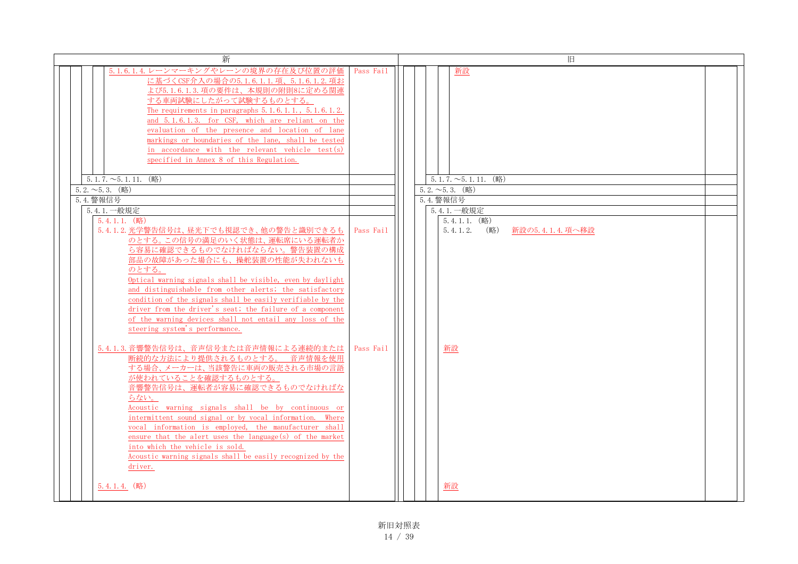| 新                                                                                                                                                                                                                                                                                                                                                                                                                                                                                                                         |           | 旧                                                     |
|---------------------------------------------------------------------------------------------------------------------------------------------------------------------------------------------------------------------------------------------------------------------------------------------------------------------------------------------------------------------------------------------------------------------------------------------------------------------------------------------------------------------------|-----------|-------------------------------------------------------|
| 5.1.6.1.4. レーンマーキングやレーンの境界の存在及び位置の評価<br>に基づくCSF介入の場合の5.1.6.1.1.項、5.1.6.1.2.項お<br>よび5.1.6.1.3.項の要件は、本規則の附則8に定める関連<br>する車両試験にしたがって試験するものとする。<br>The requirements in paragraphs $5.1.6.1.1$ , $5.1.6.1.2$ .<br>and 5.1.6.1.3. for CSF, which are reliant on the<br>evaluation of the presence and location of lane<br>markings or boundaries of the lane, shall be tested<br>in accordance with the relevant vehicle test(s)<br>specified in Annex 8 of this Regulation.                                                     | Pass Fail | <u> 新設</u>                                            |
| $5.1.7.\sim 5.1.11.$ (略)                                                                                                                                                                                                                                                                                                                                                                                                                                                                                                  |           | $5.1.7 \sim 5.1.11$ . (略)                             |
| $5.2.~\sim 5.3.~$ (略)                                                                                                                                                                                                                                                                                                                                                                                                                                                                                                     |           | $5.2.\sim 5.3.$ (略)                                   |
| 5.4. 警報信号                                                                                                                                                                                                                                                                                                                                                                                                                                                                                                                 |           | 5.4. 警報信号                                             |
| 5.4.1. 一般規定                                                                                                                                                                                                                                                                                                                                                                                                                                                                                                               |           | 5.4.1. 一般規定                                           |
| $5, 4, 1, 1,$ (略)<br>5.4.1.2. 光学警告信号は、昼光下でも視認でき、他の警告と識別できるも<br>のとする。この信号の満足のいく状態は、運転席にいる運転者か<br>ら容易に確認できるものでなければならない。警告装置の構成<br>部品の故障があった場合にも、操舵装置の性能が失われないも<br>のとする。<br>Optical warning signals shall be visible, even by daylight<br>and distinguishable from other alerts; the satisfactory<br>condition of the signals shall be easily verifiable by the<br>driver from the driver's seat; the failure of a component<br>of the warning devices shall not entail any loss of the<br>steering system's performance.    | Pass Fail | $5.4.1.1.$ (略)<br>$5.4.1.2.$ (略)<br>- 新設の5.4.1.4.項へ移設 |
| 5.4.1.3. 音響警告信号は、音声信号または音声情報による連続的または<br>断続的な方法により提供されるものとする。 音声情報を使用<br>する場合、メーカーは、当該警告に車両の販売される市場の言語<br>が使われていることを確認するものとする。<br>音響警告信号は、運転者が容易に確認できるものでなければな<br>らない。<br>Acoustic warning signals shall be by continuous or<br>intermittent sound signal or by vocal information. Where<br>vocal information is employed, the manufacturer shall<br>ensure that the alert uses the language(s) of the market<br>into which the vehicle is sold.<br>Acoustic warning signals shall be easily recognized by the<br>driver. | Pass Fail | 新設                                                    |
| $5.4.1.4.$ (略)                                                                                                                                                                                                                                                                                                                                                                                                                                                                                                            |           | 新設                                                    |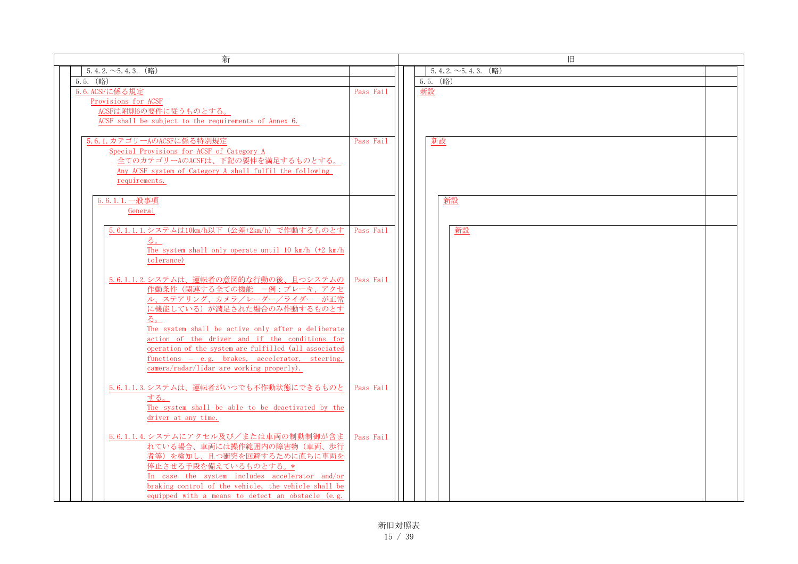| 新                                                                                                                                                                                                                                                                                       | 旧                       |  |  |  |  |  |
|-----------------------------------------------------------------------------------------------------------------------------------------------------------------------------------------------------------------------------------------------------------------------------------------|-------------------------|--|--|--|--|--|
| $5.4.2.\sim 5.4.3.$ (略)                                                                                                                                                                                                                                                                 | $5.4.2.\sim 5.4.3.$ (略) |  |  |  |  |  |
| $5.5.$ (略)                                                                                                                                                                                                                                                                              | $5.5.$ (略)              |  |  |  |  |  |
| 5.6. ACSFに係る規定<br>Provisions for ACSF<br>ACSFは附則6の要件に従うものとする。<br>ACSF shall be subject to the requirements of Annex 6.                                                                                                                                                                  | 新設<br>Pass Fail         |  |  |  |  |  |
| 5.6.1. カテゴリーAのACSFに係る特別規定<br>Special Provisions for ACSF of Category A<br>全てのカテゴリーAのACSFは、下記の要件を満足するものとする。<br>Any ACSF system of Category A shall fulfil the following<br>requirements.                                                                                                 | 新設<br>Pass Fail         |  |  |  |  |  |
| 5.6.1.1. 一般事項<br>General                                                                                                                                                                                                                                                                | 新設                      |  |  |  |  |  |
| 5.6.1.1.1.システムは10km/h以下 (公差+2km/h) で作動するものとす<br>る。<br>The system shall only operate until 10 km/h (+2 km/h<br>tolerance)                                                                                                                                                                | Pass Fail<br>新設         |  |  |  |  |  |
| 5.6.1.1.2.システムは、運転者の意図的な行動の後、且つシステムの<br>作動条件(関連する全ての機能 一例:ブレーキ、アクセ<br>ル、ステアリング、カメラ/レーダー/ライダーが正常<br>に機能している)が満足された場合のみ作動するものとす<br>る。                                                                                                                                                     | Pass Fail               |  |  |  |  |  |
| The system shall be active only after a deliberate<br>action of the driver and if the conditions for<br>operation of the system are fulfilled (all associated<br>functions - e.g. brakes, accelerator, steering,<br>camera/radar/lidar are working properly).                           |                         |  |  |  |  |  |
| 5.6.1.1.3. システムは、運転者がいつでも不作動状態にできるものと<br>する。<br>The system shall be able to be deactivated by the<br>driver at any time.                                                                                                                                                                | Pass Fail               |  |  |  |  |  |
| 5.6.1.1.4. システムにアクセル及び/または車両の制動制御が含ま<br>れている場合、車両には操作範囲内の障害物(車両、歩行<br>者等)を検知し、且つ衝突を回避するために直ちに車両を<br>停止させる手段を備えているものとする。*<br>In case the system includes accelerator and/or<br>braking control of the vehicle, the vehicle shall be<br>equipped with a means to detect an obstacle (e.g. | Pass Fail               |  |  |  |  |  |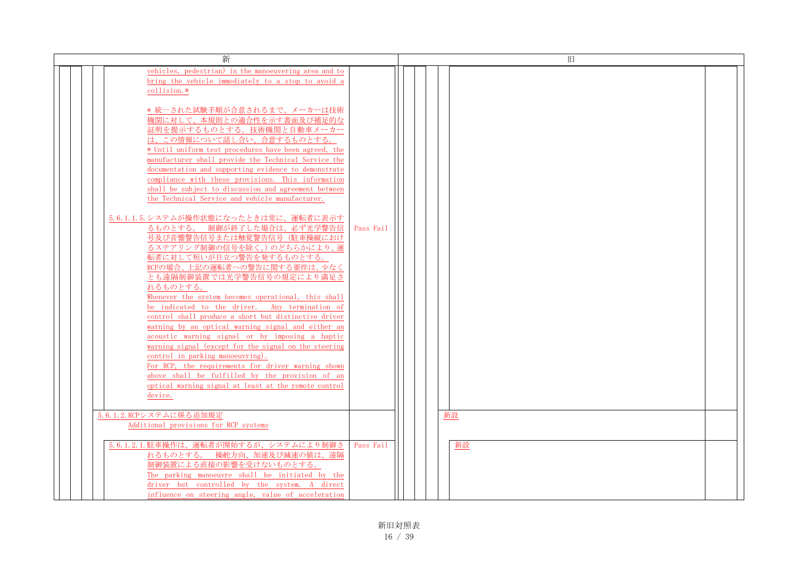| 新                                                                                                                                                                                                                                                                                                                                                                                                                                                                                         |           | 旧  |  |
|-------------------------------------------------------------------------------------------------------------------------------------------------------------------------------------------------------------------------------------------------------------------------------------------------------------------------------------------------------------------------------------------------------------------------------------------------------------------------------------------|-----------|----|--|
| vehicles, pedestrian) in the manoeuvering area and to<br>bring the vehicle immediately to a stop to avoid a<br>collision.*<br>* 統一された試験手順が合意されるまで、メーカーは技術<br>機関に対して、本規則との適合性を示す書面及び補足的な<br>証明を提示するものとする。技術機関と自動車メーカー                                                                                                                                                                                                                                                                      |           |    |  |
| は、この情報について話し合い、合意するものとする。<br>* Until uniform test procedures have been agreed, the<br>manufacturer shall provide the Technical Service the<br>documentation and supporting evidence to demonstrate<br>compliance with these provisions. This information<br>shall be subject to discussion and agreement between<br>the Technical Service and vehicle manufacturer.                                                                                                                       |           |    |  |
| 5.6.1.1.5. システムが操作状態になったときは常に、運転者に表示す<br>るものとする。 制御が終了した場合は、必ず光学警告信<br>号及び音響警告信号または触覚警告信号(駐車操縦におけ<br>るステアリング制御の信号を除く。)のどちらかにより、運<br>転者に対して短いが目立つ警告を発するものとする。<br>RCPの場合、上記の運転者への警告に関する要件は、少なく<br>とも遠隔制御装置では光学警告信号の規定により満足さ<br>れるものとする。<br>Whenever the system becomes operational, this shall                                                                                                                                                                                              | Pass Fail |    |  |
| be indicated to the driver. Any termination of<br>control shall produce a short but distinctive driver<br>warning by an optical warning signal and either an<br>acoustic warning signal or by imposing a haptic<br>warning signal (except for the signal on the steering<br>control in parking manoeuvring).<br>For RCP, the requirements for driver warning shown<br>above shall be fulfilled by the provision of an<br>optical warning signal at least at the remote control<br>device. |           |    |  |
| 5.6.1.2. RCPシステムに係る追加規定<br>Additional provisions for RCP systems                                                                                                                                                                                                                                                                                                                                                                                                                          |           | 新設 |  |
| 5.6.1.2.1. 駐車操作は、運転者が開始するが、システムにより制御さ<br>れるものとする。 操舵方向、加速及び減速の値は、遠隔<br>制御装置による直接の影響を受けないものとする。<br>The parking manoeuvre shall be initiated by the<br>driver but controlled by the system. A direct<br>influence on steering angle, value of acceleration                                                                                                                                                                                                                                  | Pass Fail | 新設 |  |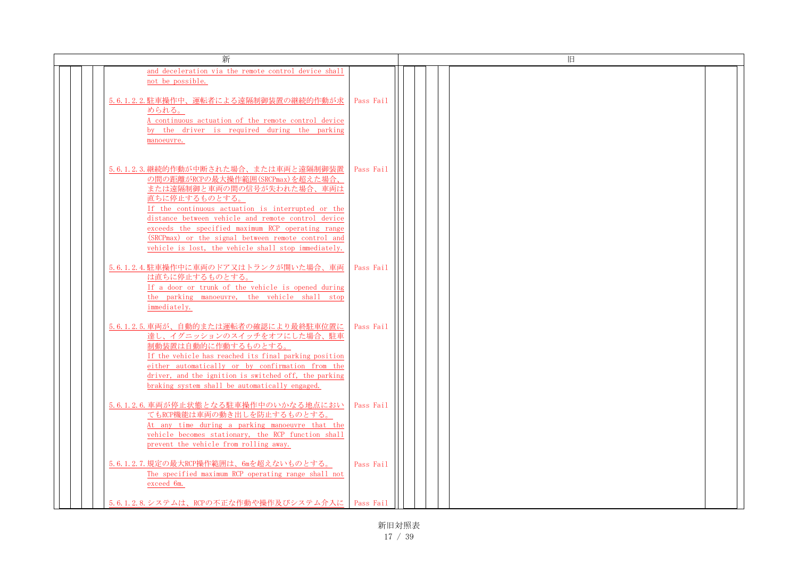| 新                                                                                                                                                                                                                                                                                                                                                                                                      | 旧         |  |
|--------------------------------------------------------------------------------------------------------------------------------------------------------------------------------------------------------------------------------------------------------------------------------------------------------------------------------------------------------------------------------------------------------|-----------|--|
| and deceleration via the remote control device shall<br>not be possible.                                                                                                                                                                                                                                                                                                                               |           |  |
| 5.6.1.2.2. 駐車操作中、運転者による遠隔制御装置の継続的作動が求<br>められる。<br>A continuous actuation of the remote control device<br>by the driver is required during the parking<br>manoeuvre.                                                                                                                                                                                                                                    | Pass Fail |  |
| 5.6.1.2.3. 継続的作動が中断された場合、または車両と遠隔制御装置<br>の間の距離がRCPの最大操作範囲(SRCPmax)を超えた場合、<br>または遠隔制御と車両の間の信号が失われた場合、車両は<br>直ちに停止するものとする。<br>If the continuous actuation is interrupted or the<br>distance between vehicle and remote control device<br>exceeds the specified maximum RCP operating range<br>(SRCPmax) or the signal between remote control and<br>vehicle is lost, the vehicle shall stop immediately. | Pass Fail |  |
| 5.6.1.2.4. 駐車操作中に車両のドア又はトランクが開いた場合、車両<br>は直ちに停止するものとする。<br>If a door or trunk of the vehicle is opened during<br>the parking manoeuvre, the vehicle shall stop<br>immediately.                                                                                                                                                                                                                         | Pass Fail |  |
| 5.6.1.2.5. 車両が、自動的または運転者の確認により最終駐車位置に<br>達し、イグニッションのスイッチをオフにした場合、駐車<br>制動装置は自動的に作動するものとする。<br>If the vehicle has reached its final parking position<br>either automatically or by confirmation from the<br>driver, and the ignition is switched off, the parking<br>braking system shall be automatically engaged.                                                                                     | Pass Fail |  |
| 5.6.1.2.6. 車両が停止状態となる駐車操作中のいかなる地点におい<br>てもRCP機能は車両の動き出しを防止するものとする。<br>At any time during a parking manoeuvre that the<br>vehicle becomes stationary, the RCP function shall<br>prevent the vehicle from rolling away.                                                                                                                                                                                  | Pass Fail |  |
| 5.6.1.2.7. 規定の最大RCP操作範囲は、6mを超えないものとする。<br>The specified maximum RCP operating range shall not<br>exceed 6m.                                                                                                                                                                                                                                                                                            | Pass Fail |  |
| 5.6.1.2.8. システムは、RCPの不正な作動や操作及びシステム介入に   Pass Fail                                                                                                                                                                                                                                                                                                                                                     |           |  |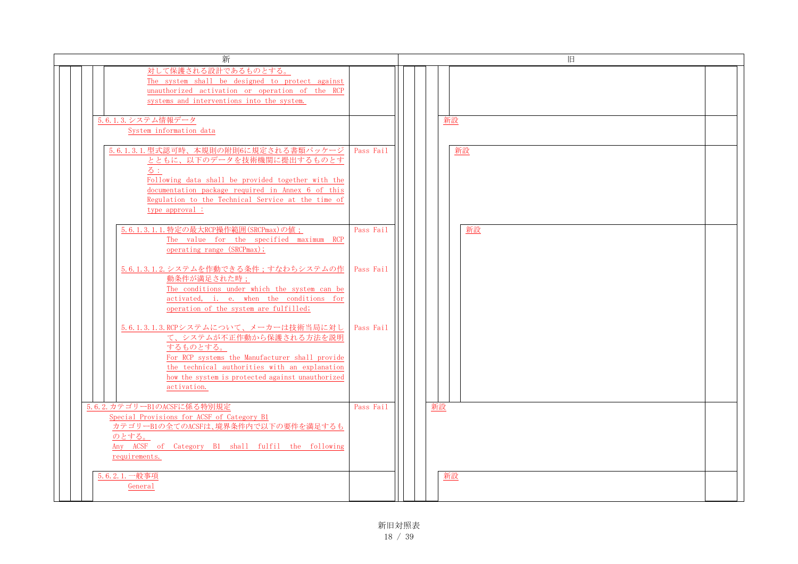| 新                                                                                                                                                                                                                                                            | 旧               |
|--------------------------------------------------------------------------------------------------------------------------------------------------------------------------------------------------------------------------------------------------------------|-----------------|
| 対して保護される設計であるものとする。<br>The system shall be designed to protect against<br>unauthorized activation or operation of the RCP<br>systems and interventions into the system.                                                                                      |                 |
| 5.6.1.3. システム情報データ<br>System information data                                                                                                                                                                                                                | 新設              |
| 5.6.1.3.1. 型式認可時、本規則の附則6に規定される書類パッケージ<br>とともに、以下のデータを技術機関に提出するものとす<br>る:<br>Following data shall be provided together with the<br>documentation package required in Annex 6 of this<br>Regulation to the Technical Service at the time of<br>type approval : | Pass Fail<br>新設 |
| 5.6.1.3.1.1. 特定の最大RCP操作範囲 (SRCPmax)の値;<br>The value for the specified maximum RCP<br>operating range (SRCPmax);                                                                                                                                              | Pass Fail<br>新設 |
| 5.6.1.3.1.2. システムを作動できる条件;すなわちシステムの作<br>動条件が満足された時;<br>The conditions under which the system can be<br>activated, i. e. when the conditions for<br>operation of the system are fulfilled;                                                                    | Pass Fail       |
| 5.6.1.3.1.3. RCPシステムについて、メーカーは技術当局に対し<br>て、システムが不正作動から保護される方法を説明<br>するものとする。<br>For RCP systems the Manufacturer shall provide<br>the technical authorities with an explanation<br>how the system is protected against unauthorized<br>activation.           | Pass Fail       |
| 5.6.2. カテゴリーB1のACSFに係る特別規定<br>Special Provisions for ACSF of Category B1<br>カテゴリーB1の全てのACSFは、境界条件内で以下の要件を満足するも<br>のとする。<br>Any ACSF of Category B1 shall fulfil the following<br>requirements.                                                               | 新設<br>Pass Fail |
| 5.6.2.1. 一般事項<br>General                                                                                                                                                                                                                                     | 新設              |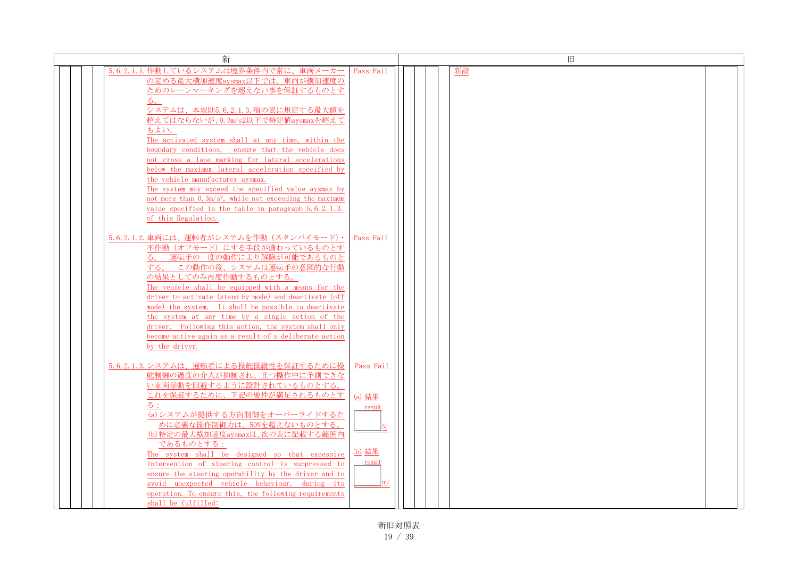| 新                                                                  |               | 旧  |  |
|--------------------------------------------------------------------|---------------|----|--|
| 5.6.2.1.1.作動しているシステムは境界条件内で常に、車両メーカー                               | Pass Fail     | 新設 |  |
| の定める最大横加速度aysmax以下では、車両が横加速度の                                      |               |    |  |
| ためのレーンマーキングを超えない事を保証するものとす                                         |               |    |  |
| る。                                                                 |               |    |  |
| システムは、本規則5.6.2.1.3.項の表に規定する最大値を                                    |               |    |  |
| 超えてはならないが、0.3m/s2以下で特定値aysmaxを超えて                                  |               |    |  |
| もよい。                                                               |               |    |  |
| The activated system shall at any time, within the                 |               |    |  |
| boundary conditions, ensure that the vehicle does                  |               |    |  |
| not cross a lane marking for lateral accelerations                 |               |    |  |
| below the maximum lateral acceleration specified by                |               |    |  |
| the vehicle manufacturer aysmax.                                   |               |    |  |
| The system may exceed the specified value aysmax by                |               |    |  |
| not more than $0.3 \text{m/s}^2$ , while not exceeding the maximum |               |    |  |
| value specified in the table in paragraph 5.6.2.1.3.               |               |    |  |
| of this Regulation.                                                |               |    |  |
|                                                                    |               |    |  |
| 5.6.2.1.2.車両には、運転者がシステムを作動 (スタンバイモード)・                             | Pass Fail     |    |  |
| 不作動(オフモード)にする手段が備わっているものとす                                         |               |    |  |
| る。 運転手の一度の動作により解除が可能であるものと                                         |               |    |  |
| する。この動作の後、システムは運転手の意図的な行動                                          |               |    |  |
| の結果としてのみ再度作動するものとする。                                               |               |    |  |
| The vehicle shall be equipped with a means for the                 |               |    |  |
| driver to activate (stand by mode) and deactivate (off             |               |    |  |
| mode) the system. It shall be possible to deactivate               |               |    |  |
| the system at any time by a single action of the                   |               |    |  |
| driver. Following this action, the system shall only               |               |    |  |
| become active again as a result of a deliberate action             |               |    |  |
| by the driver.                                                     |               |    |  |
|                                                                    |               |    |  |
| 5.6.2.1.3.システムは、運転者による操舵操縦性を保証するために操                               | Pass Fail     |    |  |
| 舵制御の過度の介入が抑制され、且つ操作中に予測できな<br>い車両挙動を回避するように設計されているものとする。           |               |    |  |
| これを保証するために、下記の要件が満足されるものとす                                         |               |    |  |
|                                                                    | (a) 結果        |    |  |
| る:<br>(a)システムが提供する方向制御をオーバーライドするた                                  | result        |    |  |
| めに必要な操作制御力は、50Nを超えないものとする。                                         |               |    |  |
| (b) 特定の最大横加速度aysmaxは、次の表に記載する範囲内                                   |               |    |  |
| であるものとする :                                                         |               |    |  |
| The system shall be designed so that excessive                     | (b) 結果        |    |  |
| intervention of steering control is suppressed to                  | <u>result</u> |    |  |
| ensure the steering operability by the driver and to               |               |    |  |
| avoid unexpected vehicle behaviour, during its                     | m/            |    |  |
| operation. To ensure this, the following requirements              |               |    |  |
| shall be fulfilled:                                                |               |    |  |
|                                                                    |               |    |  |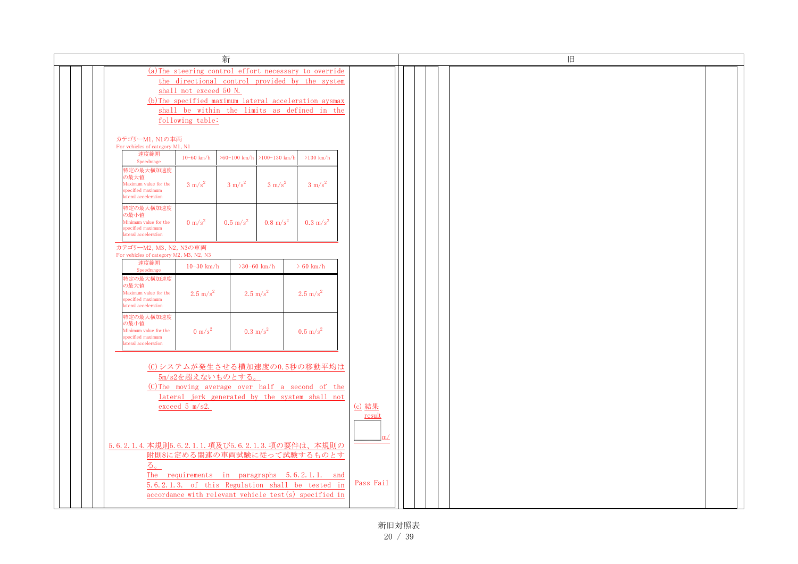|                                                                                                                                                                                                                                                                                  |                                               | 新                   |                     |                                                                                                                                                                                                                                               |  |
|----------------------------------------------------------------------------------------------------------------------------------------------------------------------------------------------------------------------------------------------------------------------------------|-----------------------------------------------|---------------------|---------------------|-----------------------------------------------------------------------------------------------------------------------------------------------------------------------------------------------------------------------------------------------|--|
| (a) The steering control effort necessary to override<br>the directional control provided by the system<br>shall not exceed 50 N.<br>(b) The specified maximum lateral acceleration aysmax<br>shall be within the limits as defined in the<br>following table:<br>カテゴリーM1, N1の車両 |                                               |                     |                     |                                                                                                                                                                                                                                               |  |
| For vehicles of category M1, N1<br>速度範囲                                                                                                                                                                                                                                          | $10 - 60$ km/h                                | $>60-100$ km/h      | $>100-130$ km/h     | $>130$ km/h                                                                                                                                                                                                                                   |  |
| Speedrange<br>特定の最大横加速度<br>の最大値<br>Maximum value for the<br>specified maximum<br>lateral acceleration                                                                                                                                                                            | $3 \text{ m/s}^2$                             | $3 \text{ m/s}^2$   | $3 \text{ m/s}^2$   | $3 \text{ m/s}^2$                                                                                                                                                                                                                             |  |
| 特定の最大横加速度<br>の最小値<br>Minimum value for the<br>specified maximum<br>ateral acceleration                                                                                                                                                                                           | $0 \text{ m/s}^2$                             | $0.5 \text{ m/s}^2$ | $0.8 \text{ m/s}^2$ | $0.3 \text{ m/s}^2$                                                                                                                                                                                                                           |  |
| カテゴリーM2, M3, N2, N3の車両<br>For vehicles of category M2, M3, N2, N3<br>速度範囲<br>Speedrange                                                                                                                                                                                          | $10 - 30$ km/h                                |                     | $>30-60$ km/h       | $> 60$ km/h                                                                                                                                                                                                                                   |  |
| 特定の最大横加速度<br>の最大値<br>Maximum value for the<br>specified maximum<br>ateral acceleration                                                                                                                                                                                           | $2.5 \text{ m/s}^2$                           |                     | $2.5 \text{ m/s}^2$ | $2.5 \text{ m/s}^2$                                                                                                                                                                                                                           |  |
| 特定の最大横加速度<br>の最小値<br>Minimum value for the<br>specified maximum<br>ateral acceleration                                                                                                                                                                                           | $0 \text{ m/s}^2$                             |                     | $0.3 \text{ m/s}^2$ | $0.5 \text{ m/s}^2$                                                                                                                                                                                                                           |  |
|                                                                                                                                                                                                                                                                                  | 5m/s2を超えないものとする。<br>exceed $5 \text{ m/s2}$ . |                     |                     | (C)システムが発生させる横加速度の0.5秒の移動平均は<br>(C) The moving average over half a second of the<br>lateral jerk generated by the system shall not                                                                                                            |  |
| 5.                                                                                                                                                                                                                                                                               |                                               |                     |                     | 5.6.2.1.4. 本規則5.6.2.1.1. 項及び5.6.2.1.3. 項の要件は、本規則の<br>附則8に定める関連の車両試験に従って試験するものとす<br>The requirements in paragraphs 5.6.2.1.1. and<br>5.6.2.1.3. of this Regulation shall be tested in<br>accordance with relevant vehicle test(s) specified in |  |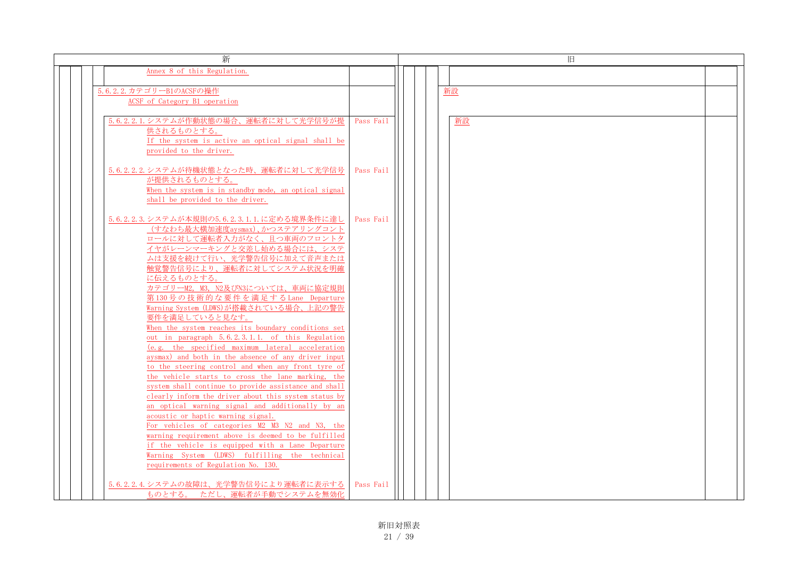| 新                                                                                                         | 旧               |  |
|-----------------------------------------------------------------------------------------------------------|-----------------|--|
| Annex 8 of this Regulation.                                                                               |                 |  |
| 5.6.2.2. カテゴリーB1のACSFの操作                                                                                  | 新設              |  |
| ACSF of Category B1 operation                                                                             |                 |  |
|                                                                                                           |                 |  |
| 5.6.2.2.1. システムが作動状態の場合、運転者に対して光学信号が提                                                                     | Pass Fail<br>新設 |  |
| 供されるものとする。                                                                                                |                 |  |
| If the system is active an optical signal shall be<br>provided to the driver.                             |                 |  |
|                                                                                                           |                 |  |
| 5.6.2.2.2. システムが待機状態となった時、運転者に対して光学信号                                                                     | Pass Fail       |  |
| が提供されるものとする。                                                                                              |                 |  |
| When the system is in standby mode, an optical signal                                                     |                 |  |
| shall be provided to the driver.                                                                          |                 |  |
| 5.6.2.2.3. システムが本規則の5.6.2.3.1.1. に定める境界条件に達し                                                              | Pass Fail       |  |
| (すなわち最大横加速度aysmax)、かつステアリングコント                                                                            |                 |  |
| ロールに対して運転者入力がなく、且つ車両のフロントタ                                                                                |                 |  |
| イヤがレーンマーキングと交差し始める場合には、システ                                                                                |                 |  |
| ムは支援を続けて行い、光学警告信号に加えて音声または                                                                                |                 |  |
| 触覚警告信号により、運転者に対してシステム状況を明確                                                                                |                 |  |
| に伝えるものとする。<br>カテゴリーM2, M3, N2及びN3については、車両に協定規則                                                            |                 |  |
| 第130号の技術的な要件を満足するLane Departure                                                                           |                 |  |
| Warning System (LDWS)が搭載されている場合、上記の警告                                                                     |                 |  |
| 要件を満足していると見なす。                                                                                            |                 |  |
| When the system reaches its boundary conditions set                                                       |                 |  |
| out in paragraph 5.6.2.3.1.1. of this Regulation<br>(e.g. the specified maximum lateral acceleration      |                 |  |
| aysmax) and both in the absence of any driver input                                                       |                 |  |
| to the steering control and when any front tyre of                                                        |                 |  |
| the vehicle starts to cross the lane marking, the                                                         |                 |  |
| system shall continue to provide assistance and shall                                                     |                 |  |
| clearly inform the driver about this system status by<br>an optical warning signal and additionally by an |                 |  |
| acoustic or haptic warning signal.                                                                        |                 |  |
| For vehicles of categories M2 M3 N2 and N3, the                                                           |                 |  |
| warning requirement above is deemed to be fulfilled                                                       |                 |  |
| if the vehicle is equipped with a Lane Departure                                                          |                 |  |
| Warning System (LDWS) fulfilling the technical                                                            |                 |  |
| requirements of Regulation No. 130.                                                                       |                 |  |
| 5.6.2.2.4. システムの故障は、光学警告信号により運転者に表示する                                                                     | Pass Fail       |  |
| ものとする。ただし、運転者が手動でシステムを無効化                                                                                 |                 |  |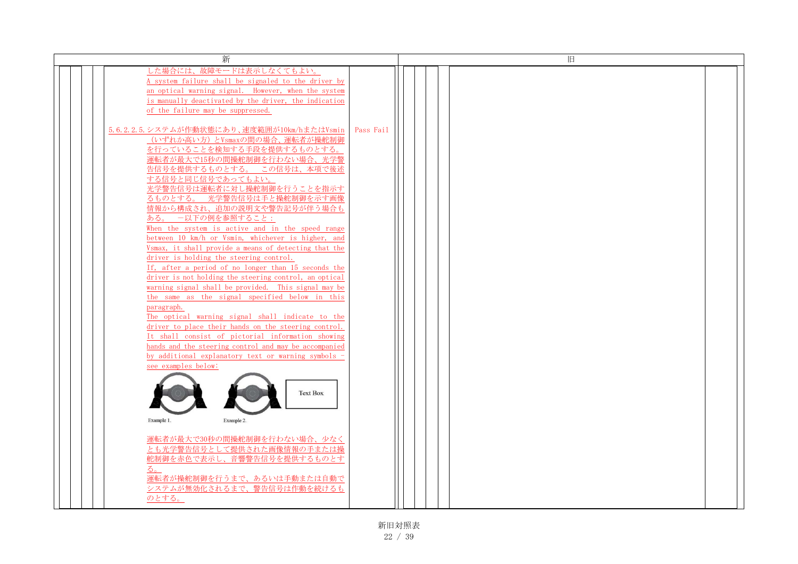| 新                                                                                                      |           |  | 旧 |  |
|--------------------------------------------------------------------------------------------------------|-----------|--|---|--|
| した場合には、故障モードは表示しなくてもよい。                                                                                |           |  |   |  |
| A system failure shall be signaled to the driver by                                                    |           |  |   |  |
| an optical warning signal. However, when the system                                                    |           |  |   |  |
| is manually deactivated by the driver, the indication                                                  |           |  |   |  |
| of the failure may be suppressed.                                                                      |           |  |   |  |
|                                                                                                        |           |  |   |  |
| 5.6.2.2.5. システムが作動状態にあり、速度範囲が10km/hまたはVsmin                                                            | Pass Fail |  |   |  |
| (いずれか高い方)とVsmaxの間の場合、運転者が操舵制御                                                                          |           |  |   |  |
| を行っていることを検知する手段を提供するものとする。                                                                             |           |  |   |  |
| 運転者が最大で15秒の間操舵制御を行わない場合、光学警                                                                            |           |  |   |  |
| 告信号を提供するものとする。 この信号は、本項で後述                                                                             |           |  |   |  |
| する信号と同じ信号であってもよい。                                                                                      |           |  |   |  |
| 光学警告信号は運転者に対し操舵制御を行うことを指示す                                                                             |           |  |   |  |
| るものとする。 光学警告信号は手と操舵制御を示す画像                                                                             |           |  |   |  |
| 情報から構成され、追加の説明文や警告記号が伴う場合も                                                                             |           |  |   |  |
| ある。 一以下の例を参照すること:                                                                                      |           |  |   |  |
| When the system is active and in the speed range                                                       |           |  |   |  |
| between 10 km/h or Vsmin, whichever is higher, and                                                     |           |  |   |  |
| Vsmax, it shall provide a means of detecting that the                                                  |           |  |   |  |
| driver is holding the steering control.                                                                |           |  |   |  |
| If, after a period of no longer than 15 seconds the                                                    |           |  |   |  |
| driver is not holding the steering control, an optical                                                 |           |  |   |  |
| warning signal shall be provided. This signal may be<br>the same as the signal specified below in this |           |  |   |  |
| paragraph.                                                                                             |           |  |   |  |
| The optical warning signal shall indicate to the                                                       |           |  |   |  |
| driver to place their hands on the steering control.                                                   |           |  |   |  |
| It shall consist of pictorial information showing                                                      |           |  |   |  |
| hands and the steering control and may be accompanied                                                  |           |  |   |  |
| by additional explanatory text or warning symbols -                                                    |           |  |   |  |
| see examples below:                                                                                    |           |  |   |  |
|                                                                                                        |           |  |   |  |
|                                                                                                        |           |  |   |  |
| <b>Text Box</b>                                                                                        |           |  |   |  |
|                                                                                                        |           |  |   |  |
|                                                                                                        |           |  |   |  |
| Example 1.<br>Example 2.                                                                               |           |  |   |  |
| 運転者が最大で30秒の間操舵制御を行わない場合、少なく                                                                            |           |  |   |  |
| とも光学警告信号として提供された画像情報の手または操                                                                             |           |  |   |  |
| 舵制御を赤色で表示し、音響警告信号を提供するものとす                                                                             |           |  |   |  |
| る。                                                                                                     |           |  |   |  |
| 運転者が操舵制御を行うまで、あるいは手動または自動で                                                                             |           |  |   |  |
| システムが無効化されるまで、警告信号は作動を続けるも                                                                             |           |  |   |  |
| のとする。                                                                                                  |           |  |   |  |
|                                                                                                        |           |  |   |  |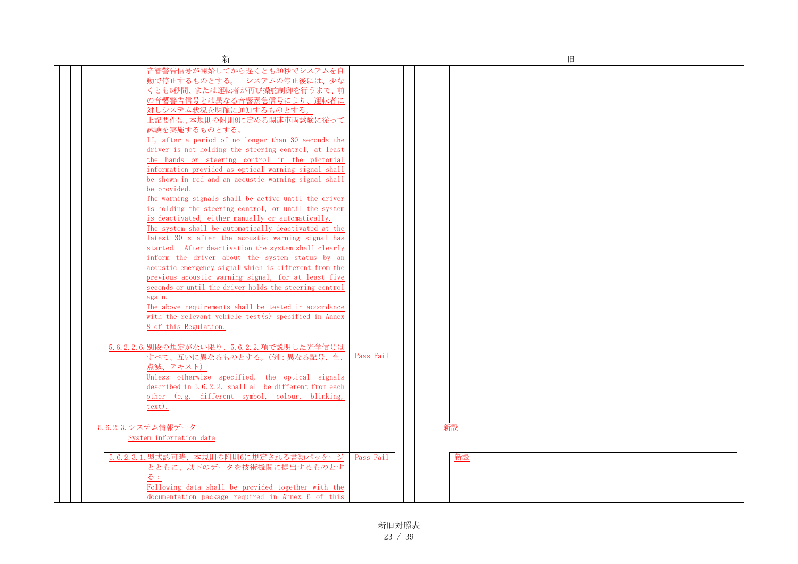| 新                                                                                                                                                                                                                                                                                                                                                                                                                                                                                                                                                                                                                                                                                                                                                                                                                                                                                                                                                                                                                                                                        | 旧                                         |  |
|--------------------------------------------------------------------------------------------------------------------------------------------------------------------------------------------------------------------------------------------------------------------------------------------------------------------------------------------------------------------------------------------------------------------------------------------------------------------------------------------------------------------------------------------------------------------------------------------------------------------------------------------------------------------------------------------------------------------------------------------------------------------------------------------------------------------------------------------------------------------------------------------------------------------------------------------------------------------------------------------------------------------------------------------------------------------------|-------------------------------------------|--|
| 音響警告信号が開始してから遅くとも30秒でシステムを自<br>動で停止するものとする。 システムの停止後には、少な<br>くとも5秒間、または運転者が再び操舵制御を行うまで、前<br>の音響警告信号とは異なる音響緊急信号により、運転者に<br>対しシステム状況を明確に通知するものとする。<br>上記要件は、本規則の附則8に定める関連車両試験に従って<br>試験を実施するものとする。<br>If, after a period of no longer than 30 seconds the<br>driver is not holding the steering control, at least<br>the hands or steering control in the pictorial<br>information provided as optical warning signal shall<br>be shown in red and an acoustic warning signal shall<br>be provided.<br>The warning signals shall be active until the driver<br>is holding the steering control, or until the system<br>is deactivated, either manually or automatically.<br>The system shall be automatically deactivated at the<br>latest 30 s after the acoustic warning signal has<br>started. After deactivation the system shall clearly<br>inform the driver about the system status by an<br>acoustic emergency signal which is different from the<br>previous acoustic warning signal, for at least five<br>seconds or until the driver holds the steering control |                                           |  |
| again.<br>The above requirements shall be tested in accordance<br>with the relevant vehicle test(s) specified in Annex<br>8 of this Regulation.<br>5.6.2.2.6.別段の規定がない限り、5.6.2.2.項で説明した光学信号は<br>すべて、互いに異なるものとする。(例:異なる記号、色、<br>点滅、テキスト)<br>Unless otherwise specified, the optical signals<br>described in 5.6.2.2. shall all be different from each<br>other (e.g. different symbol, colour, blinking,<br>text).<br>5.6.2.3. システム情報データ<br>System information data<br>5.6.2.3.1. 型式認可時、本規則の附則6に規定される書類パッケージ<br>とともに、以下のデータを技術機関に提出するものとす<br>る:<br>Following data shall be provided together with the<br>documentation package required in Annex 6 of this                                                                                                                                                                                                                                                                                                                                                                                                                 | Pass Fail<br>新設<br>Pass Fail<br><b>新設</b> |  |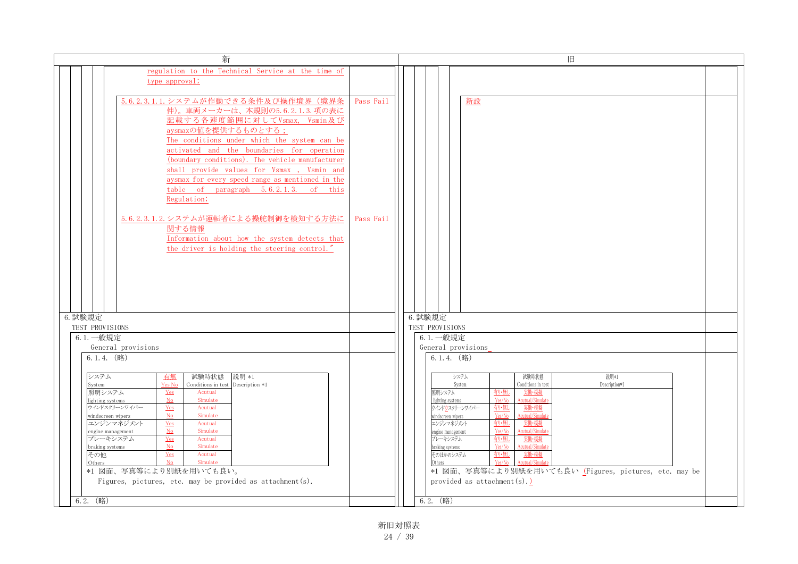| regulation to the Technical Service at the time of<br>type approval;<br>5.6.2.3.1.1. システムが作動できる条件及び操作境界(境界条<br>Pass Fail<br>新設<br>件)。車両メーカーは、本規則の5.6.2.1.3.項の表に<br>記載する各速度範囲に対してVsmax, Vsmin及び<br>aysmaxの値を提供するものとする;<br>The conditions under which the system can be<br>activated and the boundaries for operation<br>(boundary conditions). The vehicle manufacturer<br>shall provide values for Vsmax, Vsmin and<br>aysmax for every speed range as mentioned in the<br>table of paragraph 5.6.2.1.3. of this                                                                                                                                                                                                                                                                                                                                                                                                                                                                                                                                                                                                                                                                                |  |
|-------------------------------------------------------------------------------------------------------------------------------------------------------------------------------------------------------------------------------------------------------------------------------------------------------------------------------------------------------------------------------------------------------------------------------------------------------------------------------------------------------------------------------------------------------------------------------------------------------------------------------------------------------------------------------------------------------------------------------------------------------------------------------------------------------------------------------------------------------------------------------------------------------------------------------------------------------------------------------------------------------------------------------------------------------------------------------------------------------------------------------------------------------------------------------------------------|--|
|                                                                                                                                                                                                                                                                                                                                                                                                                                                                                                                                                                                                                                                                                                                                                                                                                                                                                                                                                                                                                                                                                                                                                                                                 |  |
|                                                                                                                                                                                                                                                                                                                                                                                                                                                                                                                                                                                                                                                                                                                                                                                                                                                                                                                                                                                                                                                                                                                                                                                                 |  |
| Regulation;<br>5.6.2.3.1.2. システムが運転者による操舵制御を検知する方法に<br>Pass Fail<br>関する情報<br>Information about how the system detects that                                                                                                                                                                                                                                                                                                                                                                                                                                                                                                                                                                                                                                                                                                                                                                                                                                                                                                                                                                                                                                                                      |  |
| the driver is holding the steering control.<br>6. 試験規定<br>6. 試験規定<br>TEST PROVISIONS<br>TEST PROVISIONS<br>6.1. 一般規定<br>6.1. 一般規定                                                                                                                                                                                                                                                                                                                                                                                                                                                                                                                                                                                                                                                                                                                                                                                                                                                                                                                                                                                                                                                               |  |
| General provisions<br>General provisions                                                                                                                                                                                                                                                                                                                                                                                                                                                                                                                                                                                                                                                                                                                                                                                                                                                                                                                                                                                                                                                                                                                                                        |  |
| $6.1.4.$ (略)<br>$6.1.4.$ (略)<br>システム<br>試験時状態<br>システム<br>試験時状態<br>説明*1<br>有無<br>説明 *1<br>Yes No<br>Conditions in test Description *1<br>Conditions in test<br>Description*1<br>System<br>System<br>照明システム<br>照明システム<br>有り無し<br>実働・模擬<br>Yes<br>Acutual<br>Simulate<br>Acutual/Simular<br><b>No</b><br>Yes/No<br>lighting systems<br>lighting systems<br>ウインドスクリーンワイパー<br>ウインドウスクリーンワイパー<br>有り・無し<br>実働・模擬<br>Yes<br>Acutual<br>Simulate<br>Yes/No<br>cutual/Simula<br>No<br>windscreen wipers<br>windscreen wipers<br>エンジンマネジメント<br>有り・無し<br>実働・模擬<br>エンジンマネジメント<br>Acutual<br><b>Yes</b><br>N <sub>o</sub><br>cutual/Simul<br>Simulate<br>Yes/No<br>engine management<br>engine management<br>ブレーキシステム<br>ブレーキシステム<br>有り・無し<br>Acutual<br>実働・模擬<br>$Yes$<br>Simulate<br>Yes/No<br>N <sub>o</sub><br>Acutual/Sim<br>braking systems<br>braking systems<br>その他<br>そのほかのシステム<br>有り無し<br>実働・模擬<br>Yes<br>Acutual<br>N <sub>0</sub><br>Simulate<br>Yes/No<br>Acutual/Simul<br>Others<br>Others<br>*1 図面、写真等により別紙を用いても良い。<br>*1 図面、写真等により別紙を用いても良い (Figures, pictures, etc. may be<br>provided as $attachment(s) \nightharpoonup$ .<br>Figures, pictures, etc. may be provided as attachment $(s)$ . |  |

新旧対照表 24 / 39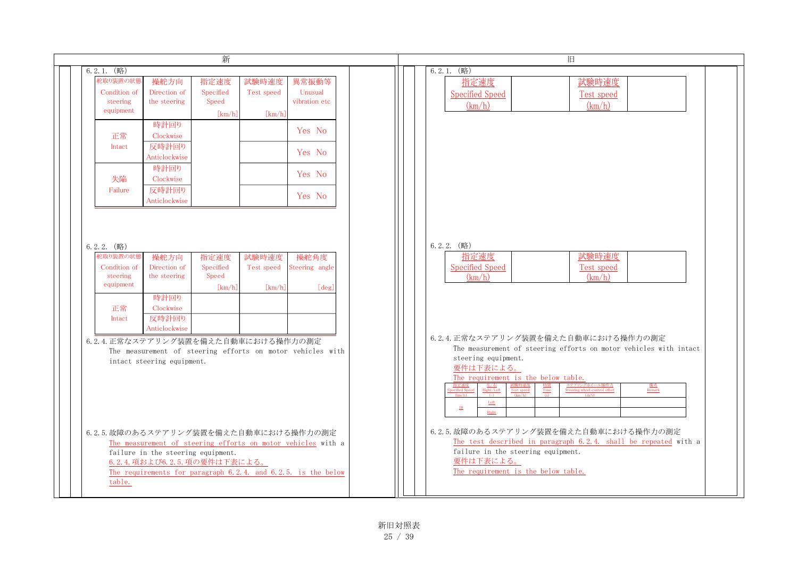|                                                   |                                                                     | 新                                    |                               |                                                                                                                               |
|---------------------------------------------------|---------------------------------------------------------------------|--------------------------------------|-------------------------------|-------------------------------------------------------------------------------------------------------------------------------|
| $6.2.1.$ (略)                                      |                                                                     |                                      |                               |                                                                                                                               |
| 舵取り装置の状態<br>Condition of<br>steering<br>equipment | 操舵方向<br>Direction of<br>the steering                                | 指定速度<br>Specified<br>Speed<br>[km/h] | 試験時速度<br>Test speed<br>[km/h] | 異常振動等<br>Unusual<br>vibration etc                                                                                             |
| 正常<br>Intact                                      | 時計回り<br>Clockwise<br>反時計回り                                          |                                      |                               | Yes No<br>Yes No                                                                                                              |
| 失陥                                                | Anticlockwise<br>時計回り<br>Clockwise                                  |                                      |                               | Yes No                                                                                                                        |
| Failure                                           | 反時計回り<br>Anticlockwise                                              |                                      |                               | Yes No                                                                                                                        |
| 舵取り装置の状態<br>Condition of<br>steering              | 操舵方向<br>Direction of<br>the steering                                | 指定速度<br>Specified<br>Speed           | 試験時速度<br>Test speed           | 操舵角度<br>Steering angle                                                                                                        |
| equipment<br>正常<br>Intact                         | 時計回り<br>Clockwise<br>反時計回り                                          | [km/h]                               | [km/h]                        | [deg]                                                                                                                         |
| 6.2.4. 正常なステアリング装置を備えた自動車における操作力の測定               | Anticlockwise<br>intact steering equipment.                         |                                      |                               | The measurement of steering efforts on motor vehicles with                                                                    |
| 6.2.5. 故障のあるステアリング装置を備えた自動車における操作力の測定<br>table.   | failure in the steering equipment.<br>6.2.4. 項および6.2.5. 項の要件は下表による。 |                                      |                               | The measurement of steering efforts on motor vehicles with a<br>The requirements for paragraph 6.2.4. and 6.2.5. is the below |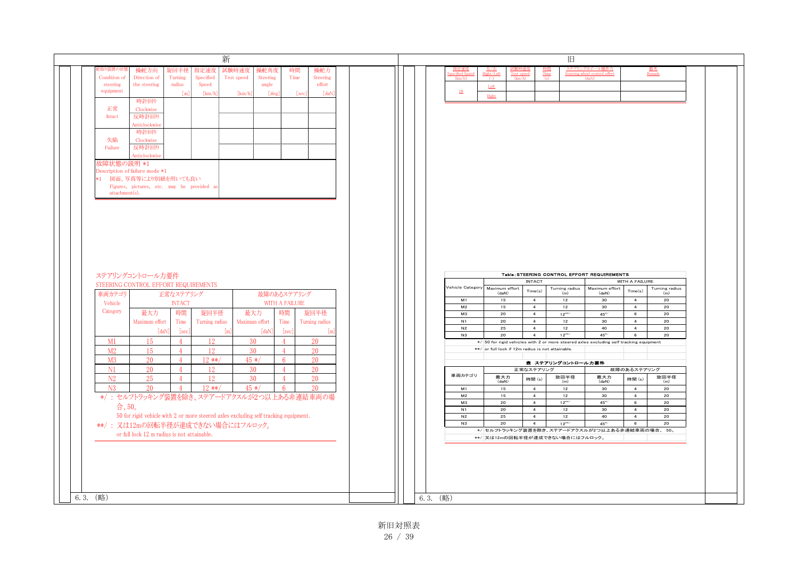|                               | 操舵方向                                                                                 | 旋回半径                   | 新<br>指定速度         | 試験時速度          | 操舵角度           | 時間             | 操舵力             |  | 指定速度<br>ecified Sr   |                                                  |                                  |                                                                                                      | ステアリングホイール操作力                                       |                                   | <u>備考</u><br>Remark                                               |
|-------------------------------|--------------------------------------------------------------------------------------|------------------------|-------------------|----------------|----------------|----------------|-----------------|--|----------------------|--------------------------------------------------|----------------------------------|------------------------------------------------------------------------------------------------------|-----------------------------------------------------|-----------------------------------|-------------------------------------------------------------------|
| Condition of                  | Direction of                                                                         | Turning                | ${\rm Specified}$ | Test speed     | Steering       | Time           | Steering        |  | (km/h)               | Right/Left                                       | <b>Test</b> speed                | Time                                                                                                 | Steering wheel control effort<br>(A <sub>B</sub> N) |                                   |                                                                   |
| steering<br>equipment         | the steering                                                                         | radius                 | Speed             |                | angle<br>[deg] |                | effort<br>[daN] |  | 10                   | $\underline{\mathsf{Left}}$                      |                                  |                                                                                                      |                                                     |                                   |                                                                   |
|                               | 時計回り                                                                                 | [m]                    | [km/h]            | [km/h]         |                | [sec]          |                 |  |                      | $\underline{\text{Right}}$                       |                                  |                                                                                                      |                                                     |                                   |                                                                   |
| 正常                            | Clockwise                                                                            |                        |                   |                |                |                |                 |  |                      |                                                  |                                  |                                                                                                      |                                                     |                                   |                                                                   |
| Intact                        | 反時計回り                                                                                |                        |                   |                |                |                |                 |  |                      |                                                  |                                  |                                                                                                      |                                                     |                                   |                                                                   |
|                               | Anticlockwise                                                                        |                        |                   |                |                |                |                 |  |                      |                                                  |                                  |                                                                                                      |                                                     |                                   |                                                                   |
|                               | 時計回り                                                                                 |                        |                   |                |                |                |                 |  |                      |                                                  |                                  |                                                                                                      |                                                     |                                   |                                                                   |
| 失陥                            | Clockwise                                                                            |                        |                   |                |                |                |                 |  |                      |                                                  |                                  |                                                                                                      |                                                     |                                   |                                                                   |
| Failure                       | 反時計回り<br>Anticlockwise                                                               |                        |                   |                |                |                |                 |  |                      |                                                  |                                  |                                                                                                      |                                                     |                                   |                                                                   |
|                               | 故障状熊の説明 *1                                                                           |                        |                   |                |                |                |                 |  |                      |                                                  |                                  |                                                                                                      |                                                     |                                   |                                                                   |
|                               | Description of failure mode *1                                                       |                        |                   |                |                |                |                 |  |                      |                                                  |                                  |                                                                                                      |                                                     |                                   |                                                                   |
|                               | *1 図面、写真等により別紙を用いても良い                                                                |                        |                   |                |                |                |                 |  |                      |                                                  |                                  |                                                                                                      |                                                     |                                   |                                                                   |
|                               | Figures, pictures, etc. may be provided as                                           |                        |                   |                |                |                |                 |  |                      |                                                  |                                  |                                                                                                      |                                                     |                                   |                                                                   |
| attachment(s).                |                                                                                      |                        |                   |                |                |                |                 |  |                      |                                                  |                                  |                                                                                                      |                                                     |                                   |                                                                   |
|                               |                                                                                      |                        |                   |                |                |                |                 |  |                      |                                                  |                                  |                                                                                                      |                                                     |                                   |                                                                   |
|                               |                                                                                      |                        |                   |                |                |                |                 |  |                      |                                                  |                                  |                                                                                                      |                                                     |                                   |                                                                   |
|                               |                                                                                      |                        |                   |                |                |                |                 |  |                      |                                                  |                                  |                                                                                                      |                                                     |                                   |                                                                   |
|                               |                                                                                      |                        |                   |                |                |                |                 |  |                      |                                                  |                                  |                                                                                                      |                                                     |                                   |                                                                   |
|                               | ステアリングコントロール力要件                                                                      |                        |                   |                |                |                |                 |  |                      |                                                  |                                  | Table: STEERING CONTROL EFFORT REQUIREMENTS                                                          |                                                     |                                   |                                                                   |
|                               | STEERING CONTROL EFFORT REQUIREMENTS                                                 |                        |                   |                |                |                |                 |  |                      |                                                  | <b>INTACT</b>                    |                                                                                                      |                                                     | WITH A FAILURE                    |                                                                   |
|                               |                                                                                      | 正常なステアリング              |                   |                | 故障のあるステアリング    |                |                 |  | Vehicle Category     | Maximum effort<br>(daN)                          | Time(s)                          | $\begin{array}{c} \text{Turning radius}\\ \text{(m)} \end{array}$                                    | Maximum effort<br>(daN)                             | Time(s)                           | $\begin{array}{c} \text{Turning radius}\\ \text{(m)} \end{array}$ |
|                               |                                                                                      | <b>INTACT</b>          |                   |                |                | WITH A FAILURE |                 |  | M1                   | 15                                               | $\overline{4}$                   | 12                                                                                                   | 30 <sub>o</sub>                                     | 4                                 | 20                                                                |
|                               | 最大力                                                                                  | 時間                     | 旋回半径              | 最大力            |                | 時間             | 旋回半径            |  | M <sub>2</sub><br>MЗ | 15<br>20                                         | $\overline{4}$<br>$\overline{4}$ | 12<br>$12***$                                                                                        | 30<br>$45^{*/}$                                     | $\overline{4}$<br>$6\overline{6}$ | 20<br>20                                                          |
|                               | Maximum effort                                                                       | Time                   | Turning radius    | Maximum effort |                | Time           | Turning radius  |  | N1                   | 20                                               | $\overline{4}$                   | 12                                                                                                   | 30                                                  | $\overline{4}$                    | 20                                                                |
|                               | [daN                                                                                 | [sec]                  |                   |                | [da]           | [sec]          | l m             |  | N2                   | 25                                               | $\overline{4}$                   | 12                                                                                                   | 40                                                  | $\overline{4}$                    | 20                                                                |
| M1                            | 15                                                                                   | $\overline{4}$         | <sup>12</sup>     | 30             | $\overline{4}$ |                | -20             |  | N3                   | 20                                               | $\overline{4}$                   | $12***$<br>$*/$ 50 for rigid vehicles with 2 or more steered axles excluding self tracking equipment | $45^{*/}$                                           | 6                                 | 20                                                                |
| M <sub>2</sub>                | 15                                                                                   | $\overline{4}$         | 12                | 30             | $\overline{4}$ |                | 20              |  |                      | **/ or full lock if 12m radius is not attainable |                                  |                                                                                                      |                                                     |                                   |                                                                   |
| M <sub>3</sub>                | 20                                                                                   | $\overline{4}$         | $12**$            | $45 */$        | $6^{\circ}$    |                | 20              |  |                      |                                                  |                                  |                                                                                                      |                                                     |                                   |                                                                   |
| N1                            | 20                                                                                   | $\overline{4}$         | 12                | 30             | $\mathbf{A}$   |                | 20              |  |                      |                                                  | 正常なステアリング                        | 表 ステアリングコントロールカ要件                                                                                    |                                                     | 故障のあるステアリング                       |                                                                   |
| N2                            | 25                                                                                   | $\boldsymbol{\Lambda}$ | 12                | 30             |                |                | 20              |  | 車両カテゴリ               | 最大力                                              | 時間(s)                            | 旋回半径                                                                                                 | 最大力                                                 | 時間(s)                             | 旋回半径                                                              |
| N <sub>3</sub>                | 20                                                                                   | $\overline{4}$         | $12**$            | $45 */$        | 6              |                | 20              |  | M1                   | (daN)<br>15                                      | 4                                | (m)<br>12                                                                                            | (daN)<br>30                                         | $\overline{4}$                    | (m)<br>20                                                         |
|                               |                                                                                      |                        |                   |                |                |                |                 |  | M <sub>2</sub>       | 15                                               | $\overline{4}$                   | 12                                                                                                   | 30                                                  | $\overline{4}$                    | 20                                                                |
|                               | */: セルフトラッキング装置を除き、ステアードアクスルが2つ以上ある非連結車両の場                                           |                        |                   |                |                |                |                 |  | MЗ                   | 20                                               | $\overline{4}$                   | $12***$                                                                                              | $45^{*/}$                                           | $6\phantom{.0}$                   | 20                                                                |
| 合、50。                         |                                                                                      |                        |                   |                |                |                |                 |  | N1                   | 20                                               | $\overline{4}$                   | 12                                                                                                   | 30                                                  | $\overline{4}$                    | 20                                                                |
|                               | 50 for rigid vehicle with 2 or more steered axles excluding self tracking equipment. |                        |                   |                |                |                |                 |  | N2                   | 25                                               | $\overline{4}$                   | 12                                                                                                   | 40<br>$45^{*/}$                                     | $\overline{4}$                    | 20                                                                |
|                               | **/: 又は12mの回転半径が達成できない場合にはフルロック。                                                     |                        |                   |                |                |                |                 |  | N3                   | 20                                               | $\overline{4}$                   | $12***$<br>*/ セルフトラッキング装置を除き、ステアードアクスルが2つ以上ある非連結車両の場合、50。                                            |                                                     | 6                                 | 20                                                                |
|                               | or full lock 12 m radius is not attainable.                                          |                        |                   |                |                |                |                 |  |                      |                                                  |                                  | **/ 又は12mの回転半径が達成できない場合にはフルロック。                                                                      |                                                     |                                   |                                                                   |
| 車両カテゴリ<br>Vehicle<br>Category |                                                                                      |                        |                   |                |                |                |                 |  |                      |                                                  |                                  |                                                                                                      |                                                     |                                   |                                                                   |
|                               |                                                                                      |                        |                   |                |                |                |                 |  |                      |                                                  |                                  |                                                                                                      |                                                     |                                   |                                                                   |
|                               |                                                                                      |                        |                   |                |                |                |                 |  |                      |                                                  |                                  |                                                                                                      |                                                     |                                   |                                                                   |
|                               |                                                                                      |                        |                   |                |                |                |                 |  |                      |                                                  |                                  |                                                                                                      |                                                     |                                   |                                                                   |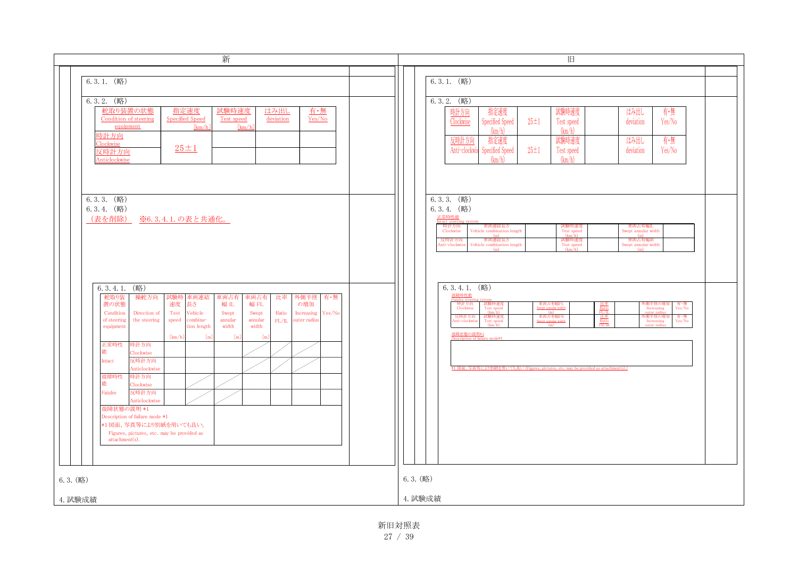| 新                                                                                                                                                                                                                                                                                                                                                                                                                                                                                                                                                                                                                                                                                                                 | 旧                                                                                                                                                                                                                                                                                                                                                                                                                                                                                          |
|-------------------------------------------------------------------------------------------------------------------------------------------------------------------------------------------------------------------------------------------------------------------------------------------------------------------------------------------------------------------------------------------------------------------------------------------------------------------------------------------------------------------------------------------------------------------------------------------------------------------------------------------------------------------------------------------------------------------|--------------------------------------------------------------------------------------------------------------------------------------------------------------------------------------------------------------------------------------------------------------------------------------------------------------------------------------------------------------------------------------------------------------------------------------------------------------------------------------------|
| $6.3.1.$ (略)<br>$6.3.2.$ (略)<br>舵取り装置の状態<br>指定速度<br>試験時速度<br>有・無<br>はみ出し<br>Condition of steering<br><b>Specified Speed</b><br>Test speed<br>deviation<br>Yes/No<br>equipment<br>$\lceil km/h \rceil$<br>$\lfloor km/h \rfloor$<br>時計方向<br>Clockwise<br>$25 \pm 1$<br>反時計方向<br>Anticlockwise                                                                                                                                                                                                                                                                                                                                                                                                                      | $6.3.1.$ (略)<br>$6.3.2.$ (略)<br>指定速度<br>有·無<br>試験時速度<br>時計方向<br>はみ出し<br>Specified Speed<br>$25 \pm 1$<br>Yes/No<br>Clockwise<br>deviation<br>Test speed<br>(km/h)<br>(km/h)<br>指定速度<br>反時計方向<br>試験時速度<br>有·無<br>はみ出し<br>Specified Speed<br>$25 \pm 1$<br>Anti-clockwi<br>deviation<br>Yes/No<br>Test speed<br>(km/h)<br>(km/h)                                                                                                                                                             |
| $6.3.3.$ (略)<br>6.3.4. (略)<br>(表 <u>を削除)</u><br>※6.3.4.1.の表と共通化。                                                                                                                                                                                                                                                                                                                                                                                                                                                                                                                                                                                                                                                  | $6.3.3.$ (略)<br>$6.3.4.$ (略)<br>正常時性能<br>時計方向<br>Clockwise<br>車両連結長さ<br>Vehicle combination length<br>試験時速度<br>Test speed<br>車両占有幅IL<br>Swept annular width<br>(m)<br>(km/h)<br>(m)<br>反時計方向<br>車両連結長さ<br>車両占有幅IR<br>試験時速度<br>Vehicle combination length<br>Swept annular width<br>Anti-clockwise<br>Test speed<br>(m)<br>(km/h)<br>(m)                                                                                                                                                    |
| (略)<br>6.3.4.1.<br>舵取り装<br>操舵方向<br>試験時<br>車両連結<br>車両占有<br>車両占有<br>比率<br>外側半径<br>有・無<br>幅 FL<br>置の状態<br>速度<br>幅IL<br>長さ<br>の増加<br>Condition<br>Test<br>Vehicle<br>Yes/No<br>Direction of<br>Swept<br>Swept<br>Increasing<br>Ratio<br>of steering<br>the steering<br>combina-<br>annular<br>annular<br>outer radius<br>speed<br>FL/IL<br>width<br>width<br>equipment<br>tion length<br>[km/h]<br>[m]<br>$\mathbb{I}$<br>$\lceil$ m<br>正常時性<br>時計方向<br>Clockwise<br>反時計方向<br>Intact<br>Anticlockwise<br>故障時性<br>時計方向<br>能<br>Clockwise<br>反時計方向<br>Faiulre<br>Anticlockwise<br>故障状態の説明 *1<br>Description of failure mode *1<br>*1図面、写真等により別紙を用いても良い。<br>Figures, pictures, etc. may be provided as<br>attachment(s). | $6.3.4.\overline{1.}$ (略)<br>故障時性能<br>時計方向<br>Clockwise<br>試験時速度<br>Test speed<br>(km/h)<br>車両占有幅FL<br>比率<br>Ratio<br>FL/IL<br>ト側半径の増)<br>Increasing<br>有·無<br>Yes/No<br>Swept annular wid<br>(m)<br>反時計方向<br>試験時速度<br>車両占有幅FR<br>Swept annular width<br>有·無<br>Yes/No<br>$rac{E \ddot{x}}{Ratio}$<br>外側半径の増加<br>Increasing<br>Anti-clockwis<br>Test speed<br>(m)<br>放障状態の説明*1<br>Description of fail<br>*1 図面、写真等により別紙を用いても良い (Figures, pictures, etc. may be provided as attachment(s).) |
| 6.3. (略)<br>4. 試験成績                                                                                                                                                                                                                                                                                                                                                                                                                                                                                                                                                                                                                                                                                               | $6.3.$ (略)<br>4. 試験成績                                                                                                                                                                                                                                                                                                                                                                                                                                                                      |

新旧対照表 27 / 39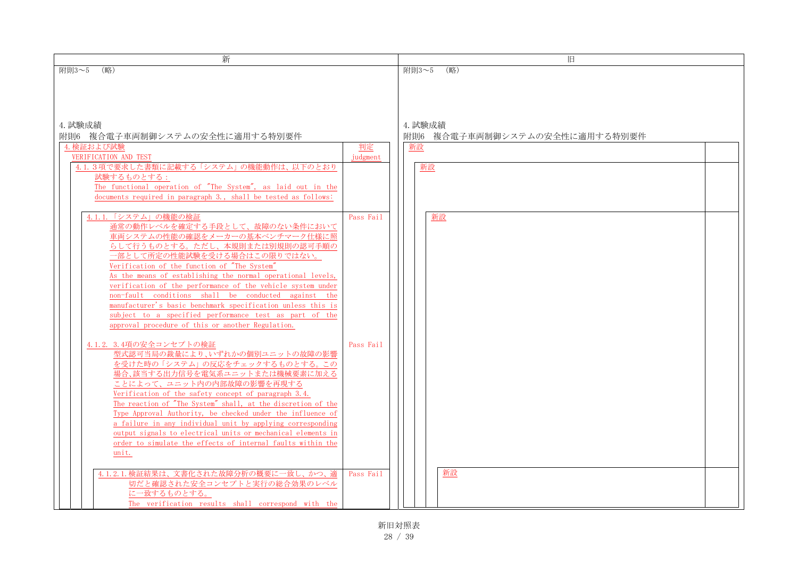| 新                                                                                                                                                                                                                                                                                                                                                                                                                                                                                                                                                                                                          |           | 旧                                        |  |
|------------------------------------------------------------------------------------------------------------------------------------------------------------------------------------------------------------------------------------------------------------------------------------------------------------------------------------------------------------------------------------------------------------------------------------------------------------------------------------------------------------------------------------------------------------------------------------------------------------|-----------|------------------------------------------|--|
| (略)<br>附則3~5                                                                                                                                                                                                                                                                                                                                                                                                                                                                                                                                                                                               |           | (略)<br>附則3~5                             |  |
| 4. 試験成績<br>附則6 複合電子車両制御システムの安全性に適用する特別要件                                                                                                                                                                                                                                                                                                                                                                                                                                                                                                                                                                   |           | 4. 試験成績<br>附則6 複合電子車両制御システムの安全性に適用する特別要件 |  |
| 4. 検証および試験                                                                                                                                                                                                                                                                                                                                                                                                                                                                                                                                                                                                 | 判定        | 新設                                       |  |
| VERIFICATION AND TEST                                                                                                                                                                                                                                                                                                                                                                                                                                                                                                                                                                                      | judgment  |                                          |  |
| 4.1.3項で要求した書類に記載する「システム」の機能動作は、以下のとおり<br>試験するものとする:<br>The functional operation of "The System", as laid out in the<br>documents required in paragraph 3., shall be tested as follows:                                                                                                                                                                                                                                                                                                                                                                                                                     |           | 新設                                       |  |
| 4.1.1.「システム」の機能の検証<br>通常の動作レベルを確定する手段として、故障のない条件において<br>車両システムの性能の確認をメーカーの基本ベンチマーク仕様に照<br>らして行うものとする。ただし、本規則または別規則の認可手順の<br>一部として所定の性能試験を受ける場合はこの限りではない。<br>Verification of the function of "The System"<br>As the means of establishing the normal operational levels,<br>verification of the performance of the vehicle system under<br>non-fault conditions shall be conducted against the<br>manufacturer's basic benchmark specification unless this is<br>subject to a specified performance test as part of the                                                                                     | Pass Fail | 新設                                       |  |
| approval procedure of this or another Regulation.<br>4.1.2. 3.4項の安全コンセプトの検証<br>型式認可当局の裁量により、いずれかの個別ユニットの故障の影響<br>を受けた時の「システム」の反応をチェックするものとする。この<br>場合、該当する出力信号を電気系ユニットまたは機械要素に加える<br>ことによって、ユニット内の内部故障の影響を再現する<br>Verification of the safety concept of paragraph 3.4.<br>The reaction of "The System" shall, at the discretion of the<br>Type Approval Authority, be checked under the influence of<br>a failure in any individual unit by applying corresponding<br>output signals to electrical units or mechanical elements in<br>order to simulate the effects of internal faults within the<br>unit. | Pass Fail |                                          |  |
| 4.1.2.1. 検証結果は、文書化された故障分析の概要に一致し、かつ、適<br>切だと確認された安全コンセプトと実行の総合効果のレベル<br>に一致するものとする。<br>The verification results shall correspond with the                                                                                                                                                                                                                                                                                                                                                                                                                                                                  | Pass Fail | 新設                                       |  |

新旧対照表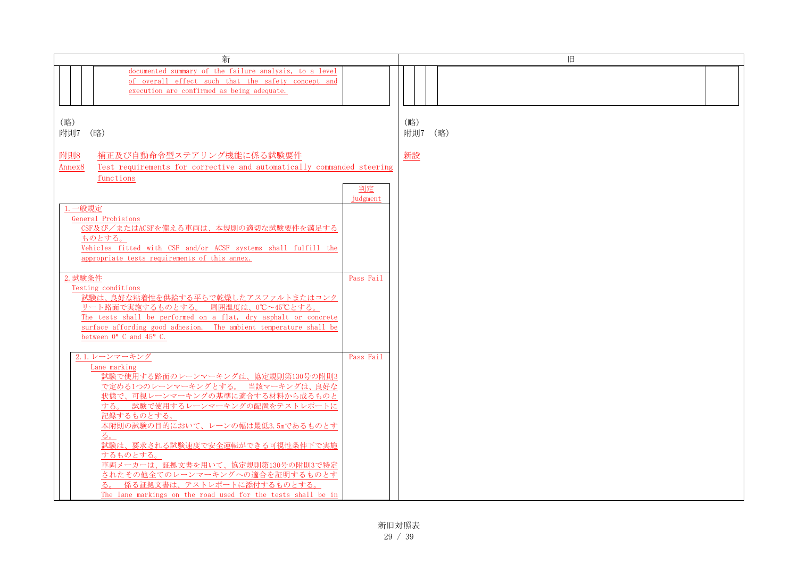| 新                                                                                                                                                                         |                | 旧              |
|---------------------------------------------------------------------------------------------------------------------------------------------------------------------------|----------------|----------------|
| documented summary of the failure analysis, to a level<br>of overall effect such that the safety concept and<br>execution are confirmed as being adequate.                |                |                |
| (略)<br>附則7 (略)                                                                                                                                                            |                | (略)<br>附則7 (略) |
| 附則8<br>補正及び自動命令型ステアリング機能に係る試験要件<br>Test requirements for corrective and automatically commanded steering<br>Annex <sub>8</sub><br>functions                               |                | 新設             |
|                                                                                                                                                                           | 判定<br>judgment |                |
| 一般規定<br>General Probisions<br>CSF及び/またはACSFを備える車両は、本規則の適切な試験要件を満足する                                                                                                       |                |                |
| ものとする。<br>Vehicles fitted with CSF and/or ACSF systems shall fulfill the<br>appropriate tests requirements of this annex.                                                 |                |                |
| 2. 試験条件<br>Testing conditions<br>試験は、良好な粘着性を供給する平らで乾燥したアスファルトまたはコンク                                                                                                       | Pass Fail      |                |
| リート路面で実施するものとする。 周囲温度は、0℃~45℃とする。<br>The tests shall be performed on a flat, dry asphalt or concrete<br>surface affording good adhesion. The ambient temperature shall be |                |                |
| between $0^{\circ}$ C and $45^{\circ}$ C.                                                                                                                                 |                |                |
| 2.1. レーンマーキング<br>Lane marking                                                                                                                                             | Pass Fail      |                |
| 試験で使用する路面のレーンマーキングは、協定規則第130号の附則3<br>で定める1つのレーンマーキングとする。当該マーキングは、良好な                                                                                                      |                |                |
| 状態で、可視レーンマーキングの基準に適合する材料から成るものと<br>する。 試験で使用するレーンマーキングの配置をテストレポートに                                                                                                        |                |                |
| 記録するものとする。<br>本附則の試験の目的において、レーンの幅は最低3.5mであるものとす                                                                                                                           |                |                |
| る。<br>試験は、要求される試験速度で安全運転ができる可視性条件下で実施<br>するものとする。                                                                                                                         |                |                |
| 車両メーカーは、証拠文書を用いて、協定規則第130号の附則3で特定<br>されたその他全てのレーンマーキングへの適合を証明するものとす                                                                                                       |                |                |
| 係る証拠文書は、テストレポートに添付するものとする。<br>The lane markings on the road used for the tests shall be in                                                                                |                |                |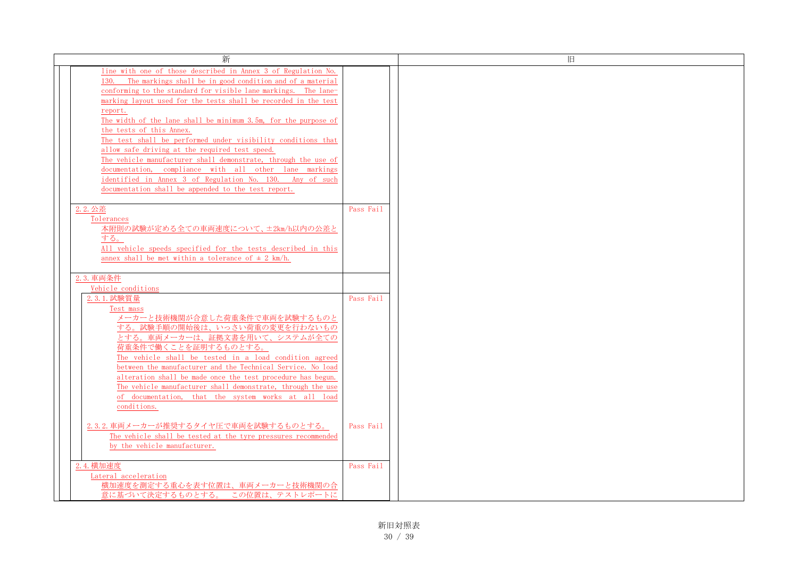| 新                                                                                                                                                                                                                                                                                                                                                                                                                                                                                                                                                                                                                                                                                                                                                   |           | 旧 |
|-----------------------------------------------------------------------------------------------------------------------------------------------------------------------------------------------------------------------------------------------------------------------------------------------------------------------------------------------------------------------------------------------------------------------------------------------------------------------------------------------------------------------------------------------------------------------------------------------------------------------------------------------------------------------------------------------------------------------------------------------------|-----------|---|
| line with one of those described in Annex 3 of Regulation No.<br>The markings shall be in good condition and of a material<br>130.<br>conforming to the standard for visible lane markings. The lane-<br>marking layout used for the tests shall be recorded in the test<br>report.<br>The width of the lane shall be minimum 3.5m, for the purpose of<br>the tests of this Annex.<br>The test shall be performed under visibility conditions that<br>allow safe driving at the required test speed.<br>The vehicle manufacturer shall demonstrate, through the use of<br>documentation, compliance with all other lane markings<br>identified in Annex 3 of Regulation No. 130. Any of such<br>documentation shall be appended to the test report. |           |   |
| 2.2. 公差<br>Tolerances<br>本附則の試験が定める全ての車両速度について、±2km/h以内の公差と<br>する。<br>All vehicle speeds specified for the tests described in this<br>annex shall be met within a tolerance of $\pm$ 2 km/h.                                                                                                                                                                                                                                                                                                                                                                                                                                                                                                                                                        | Pass Fail |   |
| 2.3. 車両条件                                                                                                                                                                                                                                                                                                                                                                                                                                                                                                                                                                                                                                                                                                                                           |           |   |
| Vehicle conditions<br>2.3.1. 試験質量<br>Test mass<br>メーカーと技術機関が合意した荷重条件で車両を試験するものと<br>する。試験手順の開始後は、いっさい荷重の変更を行わないもの<br>とする。車両メーカーは、証拠文書を用いて、システムが全ての<br>荷重条件で働くことを証明するものとする。<br>The vehicle shall be tested in a load condition agreed<br>between the manufacturer and the Technical Service. No load<br>alteration shall be made once the test procedure has begun.<br>The vehicle manufacturer shall demonstrate, through the use<br>of documentation, that the system works at all load<br>conditions.                                                                                                                                                                                                                                              | Pass Fail |   |
| 2.3.2. 車両メーカーが推奨するタイヤ圧で車両を試験するものとする。<br>The vehicle shall be tested at the tyre pressures recommended<br>by the vehicle manufacturer.                                                                                                                                                                                                                                                                                                                                                                                                                                                                                                                                                                                                               | Pass Fail |   |
| 2.4. 横加速度<br>Lateral acceleration<br>横加速度を測定する重心を表す位置は、車両メーカーと技術機関の合<br>意に基づいて決定するものとする。 この位置は、テストレポートに                                                                                                                                                                                                                                                                                                                                                                                                                                                                                                                                                                                                                                             | Pass Fail |   |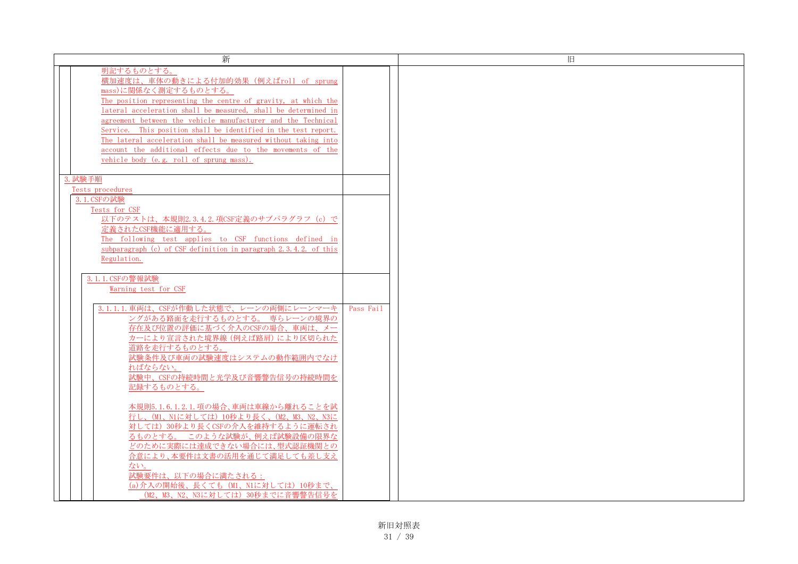| 新                                                                                                                                                                                                                                                                                                                                                                                                                                                                                                                             |           | 旧 |
|-------------------------------------------------------------------------------------------------------------------------------------------------------------------------------------------------------------------------------------------------------------------------------------------------------------------------------------------------------------------------------------------------------------------------------------------------------------------------------------------------------------------------------|-----------|---|
| 明記するものとする。<br>横加速度は、車体の動きによる付加的効果 (例えばroll of sprung<br>mass)に関係なく測定するものとする。<br>The position representing the centre of gravity, at which the<br>lateral acceleration shall be measured, shall be determined in<br>agreement between the vehicle manufacturer and the Technical<br>Service. This position shall be identified in the test report.<br>The lateral acceleration shall be measured without taking into<br>account the additional effects due to the movements of the<br>vehicle body (e.g. roll of sprung mass). |           |   |
| 3. 試験手順<br>Tests procedures<br>3.1. CSFの試験                                                                                                                                                                                                                                                                                                                                                                                                                                                                                    |           |   |
| Tests for CSF<br>以下のテストは、本規則2.3.4.2.項CSF定義のサブパラグラフ (c) で<br>定義されたCSF機能に適用する。<br>The following test applies to CSF functions defined in<br>subparagraph (c) of CSF definition in paragraph 2.3.4.2. of this<br>Regulation.                                                                                                                                                                                                                                                                                                     |           |   |
| 3.1.1. CSFの警報試験<br>Warning test for CSF                                                                                                                                                                                                                                                                                                                                                                                                                                                                                       |           |   |
| 3.1.1.1. 車両は、CSFが作動した状態で、レーンの両側にレーンマーキ<br>ングがある路面を走行するものとする。 専らレーンの境界の<br>存在及び位置の評価に基づく介入のCSFの場合、車両は、メー<br>カーにより宣言された境界線 (例えば路肩) により区切られた<br>道路を走行するものとする。<br>試験条件及び車両の試験速度はシステムの動作範囲内でなけ<br>ればならない。<br>試験中、CSFの持続時間と光学及び音響警告信号の持続時間を<br>記録するものとする。                                                                                                                                                                                                                                                                           | Pass Fail |   |
| 本規則5.1.6.1.2.1.項の場合、車両は車線から離れることを試<br>行し、(M1、N1に対しては) 10秒より長く、(M2、M3、N2、N3に<br>対しては) 30秒より長くCSFの介入を維持するように運転され<br>るものとする。このような試験が、例えば試験設備の限界な<br>どのために実際には達成できない場合には、型式認証機関との<br>合意により、本要件は文書の活用を通じて満足しても差し支え<br>ない。<br>試験要件は、以下の場合に満たされる:<br>(a) 介入の開始後、長くても (M1、N1に対しては) 10秒まで、<br>(M2、M3、N2、N3に対しては) 30秒までに音響警告信号を                                                                                                                                                                                                         |           |   |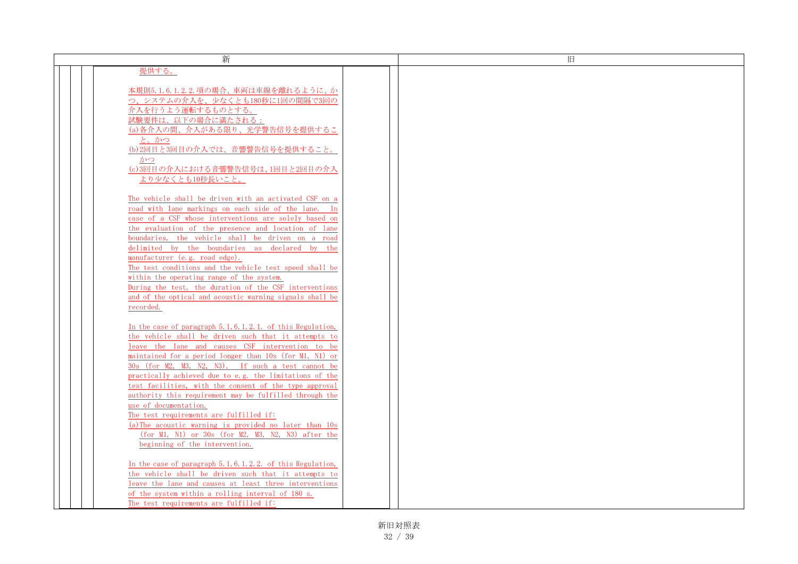| 新                                                                                                 | 旧 |
|---------------------------------------------------------------------------------------------------|---|
| 提供する。                                                                                             |   |
|                                                                                                   |   |
| 本規則5.1.6.1.2.2.項の場合、車両は車線を離れるように、か                                                                |   |
| つ、システムの介入を、少なくとも180秒に1回の間隔で3回の                                                                    |   |
| 介入を行うよう運転するものとする。                                                                                 |   |
| 試験要件は、以下の場合に満たされる:                                                                                |   |
| (a) 各介入の間、介入がある限り、光学警告信号を提供するこ                                                                    |   |
| と。かつ                                                                                              |   |
| (b) 2回目と3回目の介入では、音響警告信号を提供すること。                                                                   |   |
| かつ                                                                                                |   |
| (c)3回目の介入における音響警告信号は、1回目と2回目の介入                                                                   |   |
| より少なくとも10秒長いこと。                                                                                   |   |
|                                                                                                   |   |
| The vehicle shall be driven with an activated CSF on a                                            |   |
| road with lane markings on each side of the lane. In                                              |   |
| case of a CSF whose interventions are solely based on                                             |   |
| the evaluation of the presence and location of lane                                               |   |
| boundaries, the vehicle shall be driven on a road                                                 |   |
| delimited by the boundaries as declared by the                                                    |   |
| manufacturer (e.g. road edge).                                                                    |   |
| The test conditions and the vehicle test speed shall be                                           |   |
| within the operating range of the system.                                                         |   |
| During the test, the duration of the CSF interventions                                            |   |
| and of the optical and acoustic warning signals shall be                                          |   |
| recorded.                                                                                         |   |
|                                                                                                   |   |
| In the case of paragraph 5.1.6.1.2.1. of this Regulation,                                         |   |
| the vehicle shall be driven such that it attempts to                                              |   |
| leave the lane and causes CSF intervention to be                                                  |   |
| maintained for a period longer than 10s (for M1, N1) or                                           |   |
| 30s (for M2, M3, N2, N3). If such a test cannot be                                                |   |
| practically achieved due to e.g. the limitations of the                                           |   |
| test facilities, with the consent of the type approval                                            |   |
| authority this requirement may be fulfilled through the                                           |   |
| use of documentation.                                                                             |   |
| The test requirements are fulfilled if:<br>(a) The acoustic warning is provided no later than 10s |   |
| (for M1, N1) or 30s (for M2, M3, N2, N3) after the                                                |   |
| beginning of the intervention.                                                                    |   |
|                                                                                                   |   |
| In the case of paragraph 5.1.6.1.2.2. of this Regulation,                                         |   |
| the vehicle shall be driven such that it attempts to                                              |   |
| leave the lane and causes at least three interventions                                            |   |
| of the system within a rolling interval of 180 s.                                                 |   |
| The test requirements are fulfilled if:                                                           |   |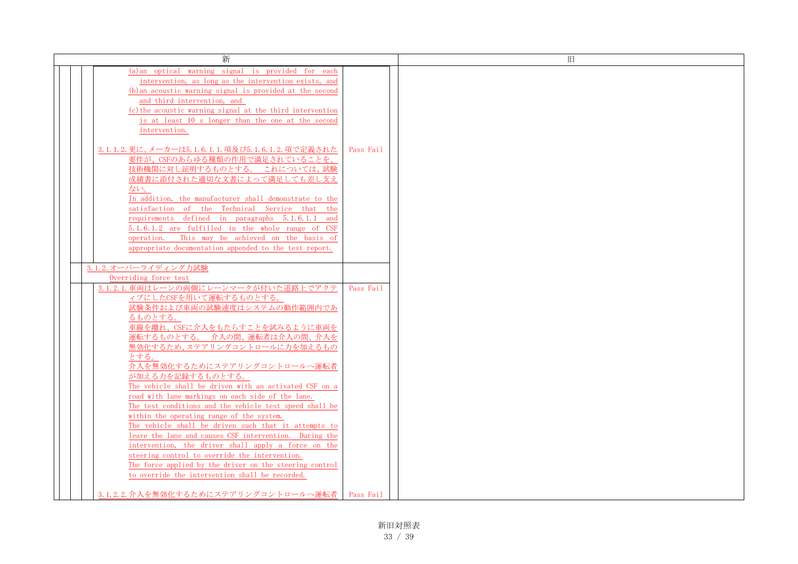| 新                                                                                                          |           |
|------------------------------------------------------------------------------------------------------------|-----------|
| (a) an optical warning signal is provided for each                                                         |           |
| intervention, as long as the intervention exists, and                                                      |           |
| (b) an acoustic warning signal is provided at the second                                                   |           |
| and third intervention, and                                                                                |           |
| (c) the acoustic warning signal at the third intervention                                                  |           |
| is at least 10 s longer than the one at the second                                                         |           |
| intervention.                                                                                              |           |
|                                                                                                            |           |
| 3.1.1.2.更に、メーカーは5.1.6.1.1.項及び5.1.6.1.2.項で定義された                                                             | Pass Fail |
| 要件が、CSFのあらゆる種類の作用で満足されていることを、                                                                              |           |
| 技術機関に対し証明するものとする。 これについては、試験                                                                               |           |
| 成績書に添付された適切な文書によって満足しても差し支え                                                                                |           |
| ない。                                                                                                        |           |
| In addition, the manufacturer shall demonstrate to the                                                     |           |
| satisfaction of the Technical Service that the                                                             |           |
| requirements defined in paragraphs 5.1.6.1.1 and                                                           |           |
| 5.1.6.1.2 are fulfilled in the whole range of CSF                                                          |           |
| operation. This may be achieved on the basis of                                                            |           |
| appropriate documentation appended to the test report.                                                     |           |
|                                                                                                            |           |
| 3.1.2.オーバーライディング力試験                                                                                        |           |
| Overriding force test                                                                                      |           |
| 3.1.2.1. 車両はレーンの両側にレーンマークが付いた道路上でアクテ                                                                       | Pass Fail |
| ィブにしたCSFを用いて運転するものとする。                                                                                     |           |
| 試験条件および車両の試験速度はシステムの動作範囲内であ                                                                                |           |
| るものとする。                                                                                                    |           |
| 車線を離れ、CSFに介入をもたらすことを試みるように車両を                                                                              |           |
| 運転するものとする。 介入の間、運転者は介入の間、介入を                                                                               |           |
| 無効化するため、ステアリングコントロールに力を加えるもの                                                                               |           |
| とする。                                                                                                       |           |
| 介入を無効化するためにステアリングコントロールへ運転者                                                                                |           |
| が加える力を記録するものとする。                                                                                           |           |
| The vehicle shall be driven with an activated CSF on a                                                     |           |
| road with lane markings on each side of the lane.                                                          |           |
| The test conditions and the vehicle test speed shall be                                                    |           |
| within the operating range of the system.                                                                  |           |
| The vehicle shall be driven such that it attempts to                                                       |           |
| leave the lane and causes CSF intervention. During the                                                     |           |
| intervention, the driver shall apply a force on the                                                        |           |
| steering control to override the intervention.                                                             |           |
| The force applied by the driver on the steering control<br>to override the intervention shall be recorded. |           |
|                                                                                                            |           |
| 3.1.2.2. 介入を無効化するためにステアリングコントロールへ運転者                                                                       | Pass Fail |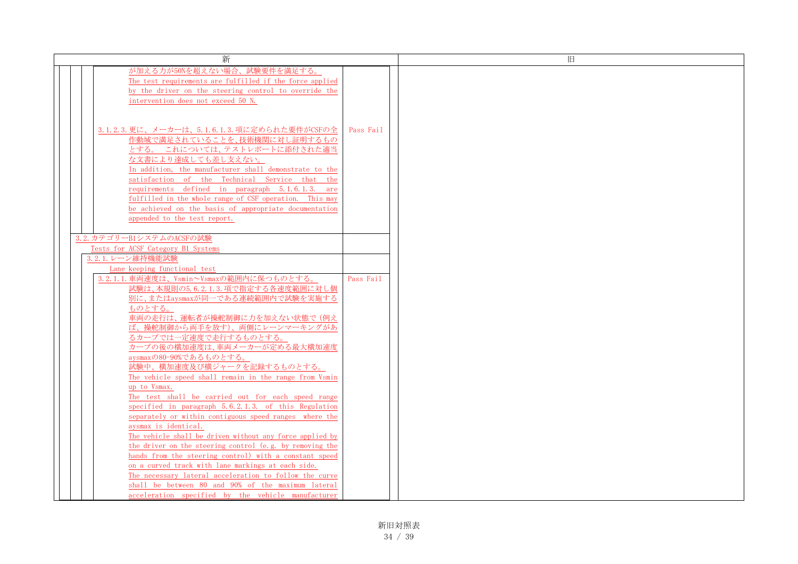| 新                                                                                                          |           | 旧 |
|------------------------------------------------------------------------------------------------------------|-----------|---|
| が加える力が50Nを超えない場合、試験要件を満足する。                                                                                |           |   |
| The test requirements are fulfilled if the force applied                                                   |           |   |
| by the driver on the steering control to override the                                                      |           |   |
| intervention does not exceed 50 N.                                                                         |           |   |
|                                                                                                            |           |   |
|                                                                                                            |           |   |
| 3.1.2.3. 更に、メーカーは、5.1.6.1.3. 項に定められた要件がCSFの全                                                               | Pass Fail |   |
| 作動域で満足されていることを、技術機関に対し証明するもの                                                                               |           |   |
| とする。これについては、テストレポートに添付された適当                                                                                |           |   |
| な文書により達成しても差し支えない。                                                                                         |           |   |
| In addition, the manufacturer shall demonstrate to the                                                     |           |   |
| satisfaction of the Technical Service that the                                                             |           |   |
| requirements defined in paragraph 5.1.6.1.3. are                                                           |           |   |
| fulfilled in the whole range of CSF operation. This may                                                    |           |   |
| be achieved on the basis of appropriate documentation                                                      |           |   |
| appended to the test report.                                                                               |           |   |
|                                                                                                            |           |   |
| 3.2. カテゴリーB1システムのACSFの試験                                                                                   |           |   |
| Tests for ACSF Category B1 Systems                                                                         |           |   |
| 3.2.1. レーン維持機能試験                                                                                           |           |   |
| Lane keeping functional test                                                                               |           |   |
| 3.2.1.1. 車両速度は、Vsmin~Vsmaxの範囲内に保つものとする。                                                                    | Pass Fail |   |
| 試験は、本規則の5.6.2.1.3.項で指定する各速度範囲に対し個                                                                          |           |   |
| 別に、またはaysmaxが同一である連続範囲内で試験を実施する                                                                            |           |   |
| ものとする。                                                                                                     |           |   |
| 車両の走行は、運転者が操舵制御に力を加えない状態で (例え                                                                              |           |   |
| ば、操舵制御から両手を放す)、両側にレーンマーキングがあ                                                                               |           |   |
| るカーブでは一定速度で走行するものとする。                                                                                      |           |   |
| カーブの後の横加速度は、車両メーカーが定める最大横加速度                                                                               |           |   |
| aysmaxの80-90%であるものとする。                                                                                     |           |   |
| 試験中、横加速度及び横ジャークを記録するものとする。                                                                                 |           |   |
| The vehicle speed shall remain in the range from Vsmin                                                     |           |   |
| up to Vsmax.                                                                                               |           |   |
| The test shall be carried out for each speed range<br>specified in paragraph 5.6.2.1.3. of this Regulation |           |   |
| separately or within contiguous speed ranges where the                                                     |           |   |
| aysmax is identical.                                                                                       |           |   |
| The vehicle shall be driven without any force applied by                                                   |           |   |
| the driver on the steering control (e.g. by removing the                                                   |           |   |
| hands from the steering control) with a constant speed                                                     |           |   |
| on a curved track with lane markings at each side.                                                         |           |   |
| The necessary lateral acceleration to follow the curve                                                     |           |   |
| shall be between 80 and 90% of the maximum lateral                                                         |           |   |
| acceleration specified by the vehicle manufacturer                                                         |           |   |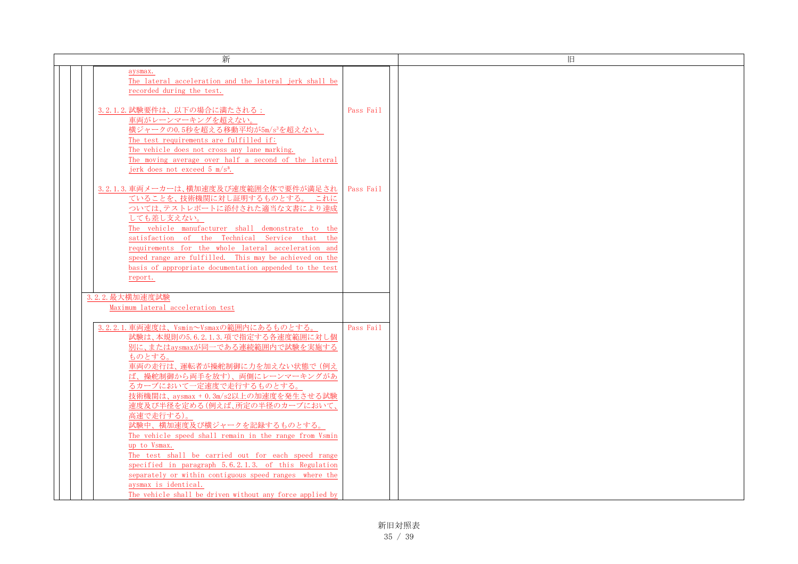| 新                                                            |           | 旧 |
|--------------------------------------------------------------|-----------|---|
| aysmax.                                                      |           |   |
| The lateral acceleration and the lateral jerk shall be       |           |   |
| recorded during the test.                                    |           |   |
|                                                              |           |   |
| 3.2.1.2. 試験要件は、以下の場合に満たされる:                                  | Pass Fail |   |
| 車両がレーンマーキングを超えない。                                            |           |   |
| 横ジャークの0.5秒を超える移動平均が5m/s3を超えない。                               |           |   |
| The test requirements are fulfilled if:                      |           |   |
| The vehicle does not cross any lane marking.                 |           |   |
| The moving average over half a second of the lateral         |           |   |
| jerk does not exceed 5 m/s <sup>3</sup> .                    |           |   |
|                                                              |           |   |
| 3.2.1.3. 車両メーカーは、横加速度及び速度範囲全体で要件が満足され                        | Pass Fail |   |
| ていることを、技術機関に対し証明するものとする。 これに                                 |           |   |
| ついては、テストレポートに添付された適当な文書により達成                                 |           |   |
| しても差し支えない。                                                   |           |   |
| The vehicle manufacturer shall demonstrate to the            |           |   |
| satisfaction of the Technical Service that the               |           |   |
| requirements for the whole lateral acceleration and          |           |   |
| speed range are fulfilled. This may be achieved on the       |           |   |
| basis of appropriate documentation appended to the test      |           |   |
| report.                                                      |           |   |
|                                                              |           |   |
| 3.2.2. 最大横加速度試験                                              |           |   |
| Maximum lateral acceleration test                            |           |   |
|                                                              |           |   |
| 3.2.2.1. 車両速度は、Vsmin~Vsmaxの範囲内にあるものとする。                      | Pass Fail |   |
| 試験は、本規則の5.6.2.1.3.項で指定する各速度範囲に対し個                            |           |   |
| 別に、またはaysmaxが同一である連続範囲内で試験を実施する                              |           |   |
| ものとする。                                                       |           |   |
| 車両の走行は、運転者が操舵制御に力を加えない状態で(例え<br>ば、操舵制御から両手を放す)、両側にレーンマーキングがあ |           |   |
| るカーブにおいて一定速度で走行するものとする。                                      |           |   |
| 技術機関は、aysmax + 0.3m/s2以上の加速度を発生させる試験                         |           |   |
| 速度及び半径を定める(例えば、所定の半径のカーブにおいて、                                |           |   |
| 高速で走行する)。                                                    |           |   |
| 試験中、横加速度及び横ジャークを記録するものとする。                                   |           |   |
| The vehicle speed shall remain in the range from Vsmin       |           |   |
| up to Vsmax.                                                 |           |   |
| The test shall be carried out for each speed range           |           |   |
| specified in paragraph 5.6.2.1.3. of this Regulation         |           |   |
| separately or within contiguous speed ranges where the       |           |   |
| aysmax is identical.                                         |           |   |
| The vehicle shall be driven without any force applied by     |           |   |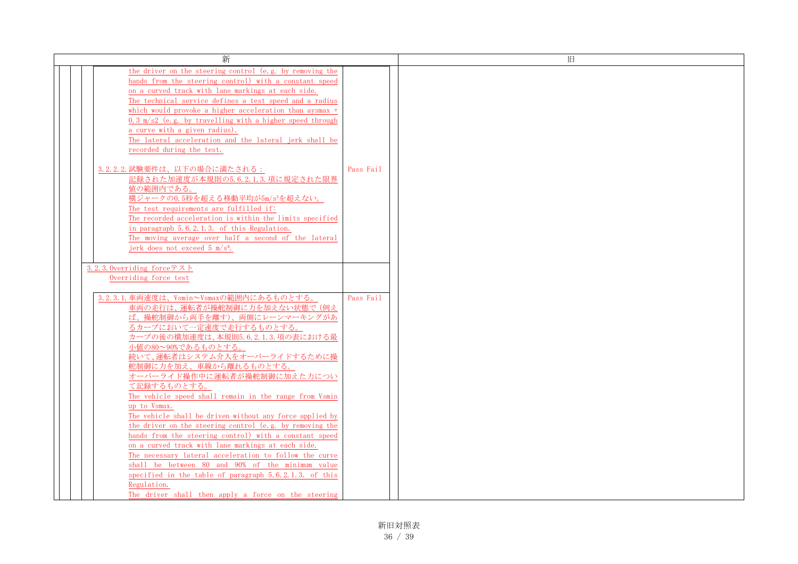| 新                                                          |           |  |
|------------------------------------------------------------|-----------|--|
|                                                            |           |  |
| the driver on the steering control (e.g. by removing the   |           |  |
| hands from the steering control) with a constant speed     |           |  |
| on a curved track with lane markings at each side.         |           |  |
| The technical service defines a test speed and a radius    |           |  |
| which would provoke a higher acceleration than aysmax +    |           |  |
| $0.3$ m/s2 (e.g. by travelling with a higher speed through |           |  |
| a curve with a given radius).                              |           |  |
| The lateral acceleration and the lateral jerk shall be     |           |  |
| recorded during the test.                                  |           |  |
|                                                            |           |  |
| 3.2.2.2. 試験要件は、以下の場合に満たされる:                                | Pass Fail |  |
| 記録された加速度が本規則の5.6.2.1.3. 項に規定された限界                          |           |  |
| 値の範囲内である。                                                  |           |  |
| 横ジャークの0.5秒を超える移動平均が5m/s3を超えない。                             |           |  |
| The test requirements are fulfilled if:                    |           |  |
| The recorded acceleration is within the limits specified   |           |  |
| in paragraph 5.6.2.1.3. of this Regulation.                |           |  |
| The moving average over half a second of the lateral       |           |  |
| jerk does not exceed $5 \text{ m/s}^3$ .                   |           |  |
|                                                            |           |  |
| 3.2.3. Overriding forceテスト                                 |           |  |
| Overriding force test                                      |           |  |
|                                                            |           |  |
| 3.2.3.1. 車両速度は、Vsmin~Vsmaxの範囲内にあるものとする。                    | Pass Fail |  |
| 車両の走行は、運転者が操舵制御に力を加えない状態で(例え                               |           |  |
| ば、操舵制御から両手を離す)、両側にレーンマーキングがあ                               |           |  |
| るカーブにおいて一定速度で走行するものとする。                                    |           |  |
| カーブの後の横加速度は、本規則5.6.2.1.3.項の表における最                          |           |  |
|                                                            |           |  |
| 小値の80~90%であるものとする。<br>続いて、運転者はシステム介入をオーバーライドするために操         |           |  |
|                                                            |           |  |
| 舵制御に力を加え、車線から離れるものとする。                                     |           |  |
| オーバーライド操作中に運転者が操舵制御に加えた力につい                                |           |  |
| て記録するものとする。                                                |           |  |
| The vehicle speed shall remain in the range from Vsmin     |           |  |
| up to Vsmax.                                               |           |  |
| The vehicle shall be driven without any force applied by   |           |  |
| the driver on the steering control (e.g. by removing the   |           |  |
| hands from the steering control) with a constant speed     |           |  |
| on a curved track with lane markings at each side.         |           |  |
| The necessary lateral acceleration to follow the curve     |           |  |
| shall be between 80 and 90% of the minimum value           |           |  |
| specified in the table of paragraph 5.6.2.1.3. of this     |           |  |
| Regulation.                                                |           |  |
| The driver shall then apply a force on the steering        |           |  |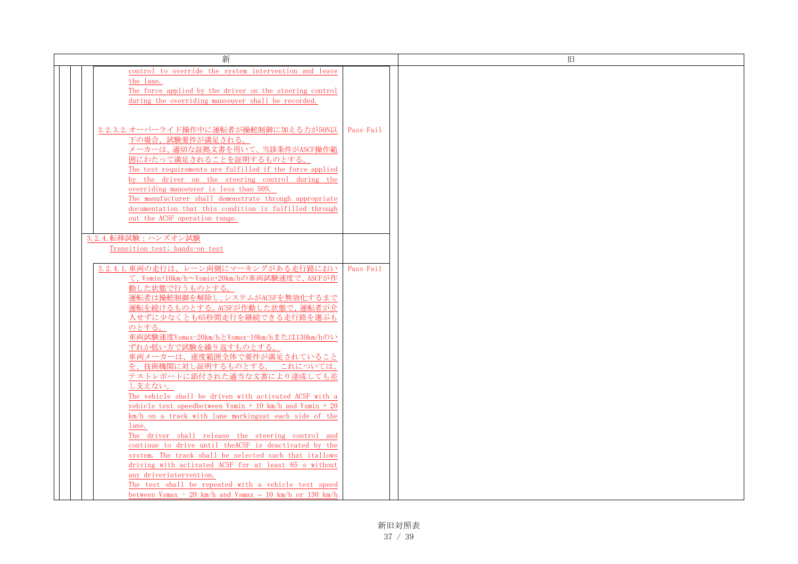| 新                                                                                                                  |           | 旧 |
|--------------------------------------------------------------------------------------------------------------------|-----------|---|
| control to override the system intervention and leave                                                              |           |   |
| the lane.                                                                                                          |           |   |
| The force applied by the driver on the steering control                                                            |           |   |
| during the overriding manoeuver shall be recorded.                                                                 |           |   |
|                                                                                                                    |           |   |
| 3.2.3.2. オーバーライド操作中に運転者が操舵制御に加える力が50N以                                                                             | Pass Fail |   |
| 下の場合、試験要件が満足される。                                                                                                   |           |   |
| メーカーは、適切な証拠文書を用いて、当該条件がASCF操作範                                                                                     |           |   |
| 囲にわたって満足されることを証明するものとする。                                                                                           |           |   |
| The test requirements are fulfilled if the force applied                                                           |           |   |
| by the driver on the steering control during the                                                                   |           |   |
| overriding manoeuver is less than 50N.                                                                             |           |   |
| The manufacturer shall demonstrate through appropriate                                                             |           |   |
| documentation that this condition is fulfilled through                                                             |           |   |
| out the ACSF operation range.                                                                                      |           |   |
|                                                                                                                    |           |   |
| 3.2.4. 転移試験;ハンズオン試験                                                                                                |           |   |
| Transition test; hands-on test                                                                                     |           |   |
| 3.2.4.1. 車両の走行は、レーン両側にマーキングがある走行路におい                                                                               | Pass Fail |   |
| て、Vsmin+10km/h~Vsmin+20km/hの車両試験速度で、ASCFが作                                                                         |           |   |
| 動した状態で行うものとする。                                                                                                     |           |   |
| 運転者は操舵制御を解除し、システムがACSFを無効化するまで                                                                                     |           |   |
| 運転を続けるものとする。ACSFが作動した状態で、運転者が介                                                                                     |           |   |
| 入せずに少なくとも65秒間走行を継続できる走行路を選ぶも                                                                                       |           |   |
| のとする。                                                                                                              |           |   |
| 車両試験速度Vsmax-20km/hとVsmax-10km/hまたは130km/hのい                                                                        |           |   |
| ずれか低い方で試験を繰り返すものとする。                                                                                               |           |   |
| 車両メーカーは、速度範囲全体で要件が満足されていること                                                                                        |           |   |
| を、技術機関に対し証明するものとする。 これについては、                                                                                       |           |   |
| テストレポートに添付された適当な文書により達成しても差                                                                                        |           |   |
| し支えない。                                                                                                             |           |   |
| The vehicle shall be driven with activated ACSF with a<br>vehicle test speedbetween Vsmin + 10 km/h and Vsmin + 20 |           |   |
|                                                                                                                    |           |   |
| km/h on a track with lane markingsat each side of the<br>lane.                                                     |           |   |
| The driver shall release the steering control and                                                                  |           |   |
| continue to drive until theACSF is deactivated by the                                                              |           |   |
| system. The track shall be selected such that itallows                                                             |           |   |
| driving with activated ACSF for at least 65 s without                                                              |           |   |
| any driverintervention.                                                                                            |           |   |
| The test shall be repeated with a vehicle test speed                                                               |           |   |
| between $Vsmax - 20 km/h$ and $Vsmax - 10 km/h$ or 130 km/h                                                        |           |   |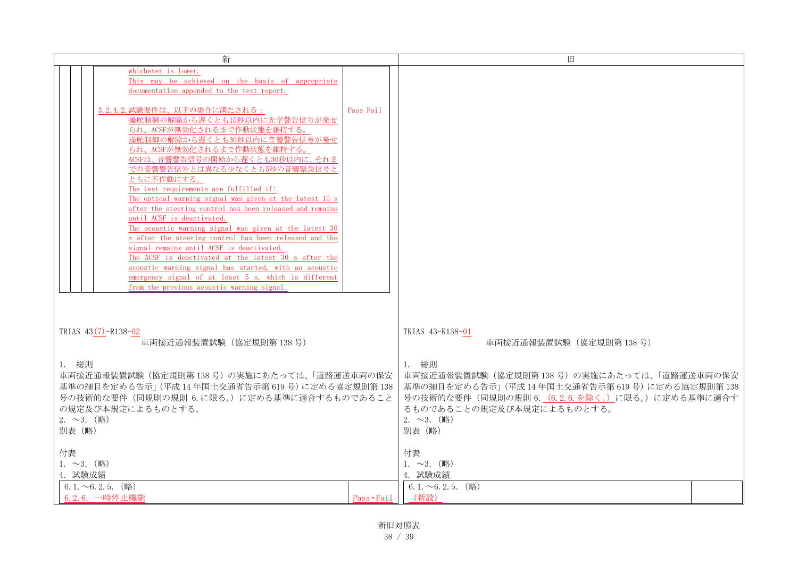| 新                                                                                    |             | 旧                                             |  |  |
|--------------------------------------------------------------------------------------|-------------|-----------------------------------------------|--|--|
| whichever is lower.                                                                  |             |                                               |  |  |
| This may be achieved on the basis of appropriate                                     |             |                                               |  |  |
| documentation appended to the test report.                                           |             |                                               |  |  |
| 3.2.4.2. 試験要件は、以下の場合に満たされる:                                                          | Pass Fail   |                                               |  |  |
| 操舵制御の解除から遅くとも15秒以内に光学警告信号が発せ                                                         |             |                                               |  |  |
| られ、ACSFが無効化されるまで作動状態を維持する。                                                           |             |                                               |  |  |
| 操舵制御の解除から遅くとも30秒以内に音響警告信号が発せ                                                         |             |                                               |  |  |
| られ、ACSFが無効化されるまで作動状態を維持する。                                                           |             |                                               |  |  |
| ACSFは、音響警告信号の開始から遅くとも30秒以内に、それま<br>での音響警告信号とは異なる少なくとも5秒の音響緊急信号と                      |             |                                               |  |  |
| ともに不作動にする。                                                                           |             |                                               |  |  |
| The test requirements are fulfilled if:                                              |             |                                               |  |  |
| The optical warning signal was given at the latest 15 s                              |             |                                               |  |  |
| after the steering control has been released and remains                             |             |                                               |  |  |
| until ACSF is deactivated.<br>The acoustic warning signal was given at the latest 30 |             |                                               |  |  |
| s after the steering control has been released and the                               |             |                                               |  |  |
| signal remains until ACSF is deactivated.                                            |             |                                               |  |  |
| The ACSF is deactivated at the latest 30 s after the                                 |             |                                               |  |  |
| acoustic warning signal has started, with an acoustic                                |             |                                               |  |  |
| emergency signal of at least 5 s, which is different                                 |             |                                               |  |  |
| from the previous acoustic warning signal.                                           |             |                                               |  |  |
|                                                                                      |             |                                               |  |  |
|                                                                                      |             |                                               |  |  |
| TRIAS $43(7) - R138 - 02$                                                            |             | TRIAS 43-R138-01                              |  |  |
| 車両接近通報装置試験 (協定規則第138号)                                                               |             | 車両接近通報装置試験 (協定規則第138号)                        |  |  |
|                                                                                      |             |                                               |  |  |
| 1. 総則                                                                                |             | 1. 総則                                         |  |  |
| 車両接近通報装置試験(協定規則第138号)の実施にあたっては、「道路運送車両の保安                                            |             | 車両接近通報装置試験(協定規則第138号)の実施にあたっては、「道路運送車両の保安     |  |  |
| 基準の細目を定める告示」(平成14年国土交通省告示第619号)に定める協定規則第138                                          |             | 基準の細目を定める告示」(平成14年国土交通省告示第619号)に定める協定規則第138   |  |  |
| 号の技術的な要件(同規則の規則6.に限る。)に定める基準に適合するものであること                                             |             | 号の技術的な要件(同規則の規則6. (6.2.6.を除く。)に限る。)に定める基準に適合す |  |  |
| の規定及び本規定によるものとする。                                                                    |             | るものであることの規定及び本規定によるものとする。                     |  |  |
| $2.~\sim$ 3. (略)                                                                     |             | $2.~\sim$ 3. (略)                              |  |  |
| 別表 (略)                                                                               |             | 別表 (略)                                        |  |  |
| 付表                                                                                   |             | 付表                                            |  |  |
| $1.~ 23.~ ($ 略)                                                                      |             | $1.~\sim 3.~$ (略)                             |  |  |
| 4. 試験成績                                                                              |             | 4. 試験成績                                       |  |  |
| $6.1.~0.2.5.$ (略)                                                                    |             | $6.1.~0.2.5.~$ (略)                            |  |  |
| 6.2.6. 一時停止機能                                                                        | Pass • Fail | (新設)                                          |  |  |